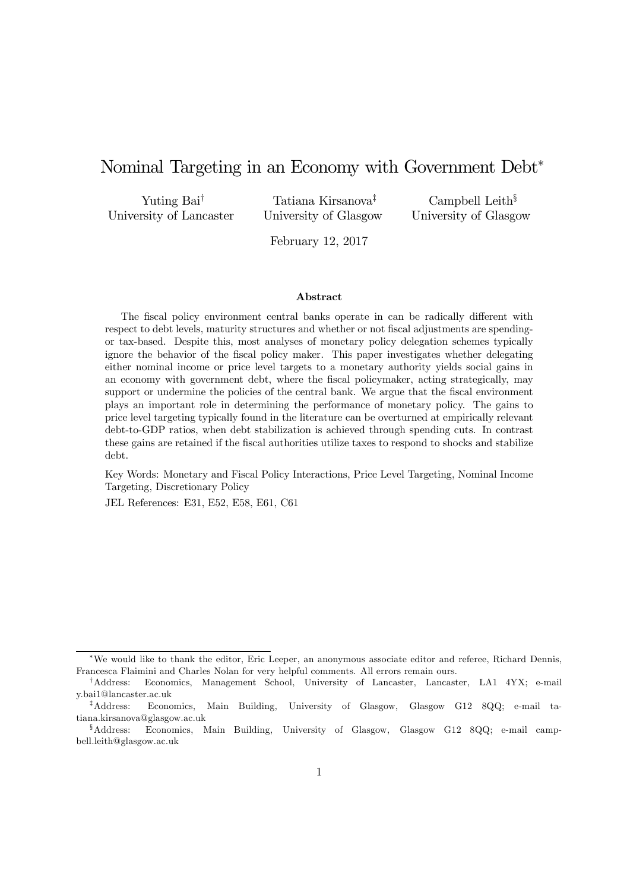# Nominal Targeting in an Economy with Government Debt<sup>∗</sup>

Yuting Bai† University of Lancaster

Tatiana Kirsanova‡ University of Glasgow

Campbell Leith§ University of Glasgow

February 12, 2017

#### Abstract

The fiscal policy environment central banks operate in can be radically different with respect to debt levels, maturity structures and whether or not fiscal adjustments are spendingor tax-based. Despite this, most analyses of monetary policy delegation schemes typically ignore the behavior of the fiscal policy maker. This paper investigates whether delegating either nominal income or price level targets to a monetary authority yields social gains in an economy with government debt, where the fiscal policymaker, acting strategically, may support or undermine the policies of the central bank. We argue that the fiscal environment plays an important role in determining the performance of monetary policy. The gains to price level targeting typically found in the literature can be overturned at empirically relevant debt-to-GDP ratios, when debt stabilization is achieved through spending cuts. In contrast these gains are retained if the fiscal authorities utilize taxes to respond to shocks and stabilize debt.

Key Words: Monetary and Fiscal Policy Interactions, Price Level Targeting, Nominal Income Targeting, Discretionary Policy

JEL References: E31, E52, E58, E61, C61

<sup>∗</sup>We would like to thank the editor, Eric Leeper, an anonymous associate editor and referee, Richard Dennis, Francesca Flaimini and Charles Nolan for very helpful comments. All errors remain ours.

<sup>†</sup>Address: Economics, Management School, University of Lancaster, Lancaster, LA1 4YX; e-mail y.bai1@lancaster.ac.uk

<sup>‡</sup>Address: Economics, Main Building, University of Glasgow, Glasgow G12 8QQ; e-mail tatiana.kirsanova@glasgow.ac.uk

<sup>§</sup>Address: Economics, Main Building, University of Glasgow, Glasgow G12 8QQ; e-mail campbell.leith@glasgow.ac.uk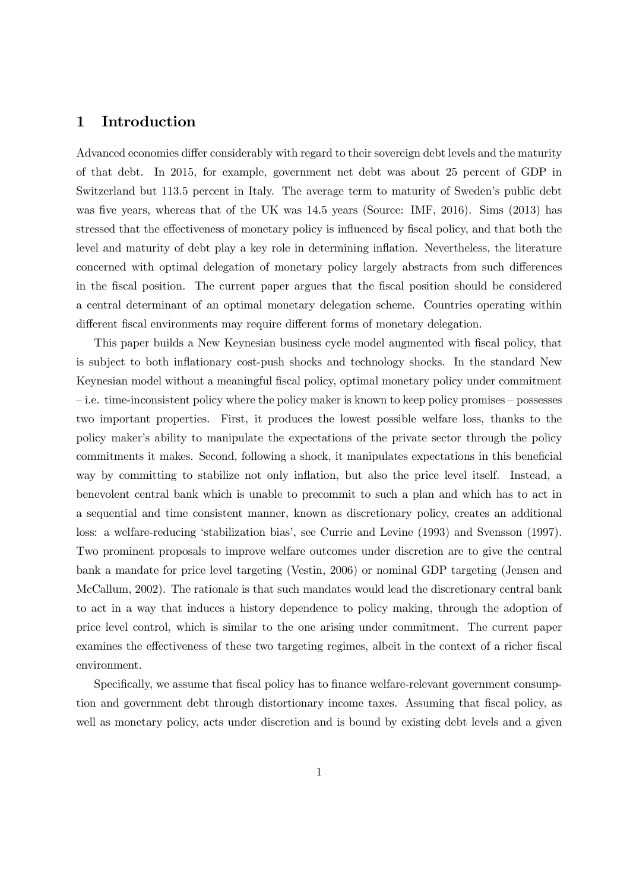## 1 Introduction

Advanced economies differ considerably with regard to their sovereign debt levels and the maturity of that debt. In 2015, for example, government net debt was about 25 percent of GDP in Switzerland but 113.5 percent in Italy. The average term to maturity of Sweden's public debt was five years, whereas that of the UK was 14.5 years (Source: IMF, 2016). Sims (2013) has stressed that the effectiveness of monetary policy is influenced by fiscal policy, and that both the level and maturity of debt play a key role in determining inflation. Nevertheless, the literature concerned with optimal delegation of monetary policy largely abstracts from such differences in the fiscal position. The current paper argues that the fiscal position should be considered a central determinant of an optimal monetary delegation scheme. Countries operating within different fiscal environments may require different forms of monetary delegation.

This paper builds a New Keynesian business cycle model augmented with fiscal policy, that is subject to both inflationary cost-push shocks and technology shocks. In the standard New Keynesian model without a meaningful fiscal policy, optimal monetary policy under commitment — i.e. time-inconsistent policy where the policy maker is known to keep policy promises — possesses two important properties. First, it produces the lowest possible welfare loss, thanks to the policy maker's ability to manipulate the expectations of the private sector through the policy commitments it makes. Second, following a shock, it manipulates expectations in this beneficial way by committing to stabilize not only inflation, but also the price level itself. Instead, a benevolent central bank which is unable to precommit to such a plan and which has to act in a sequential and time consistent manner, known as discretionary policy, creates an additional loss: a welfare-reducing 'stabilization bias', see Currie and Levine (1993) and Svensson (1997). Two prominent proposals to improve welfare outcomes under discretion are to give the central bank a mandate for price level targeting (Vestin, 2006) or nominal GDP targeting (Jensen and McCallum, 2002). The rationale is that such mandates would lead the discretionary central bank to act in a way that induces a history dependence to policy making, through the adoption of price level control, which is similar to the one arising under commitment. The current paper examines the effectiveness of these two targeting regimes, albeit in the context of a richer fiscal environment.

Specifically, we assume that fiscal policy has to finance welfare-relevant government consumption and government debt through distortionary income taxes. Assuming that fiscal policy, as well as monetary policy, acts under discretion and is bound by existing debt levels and a given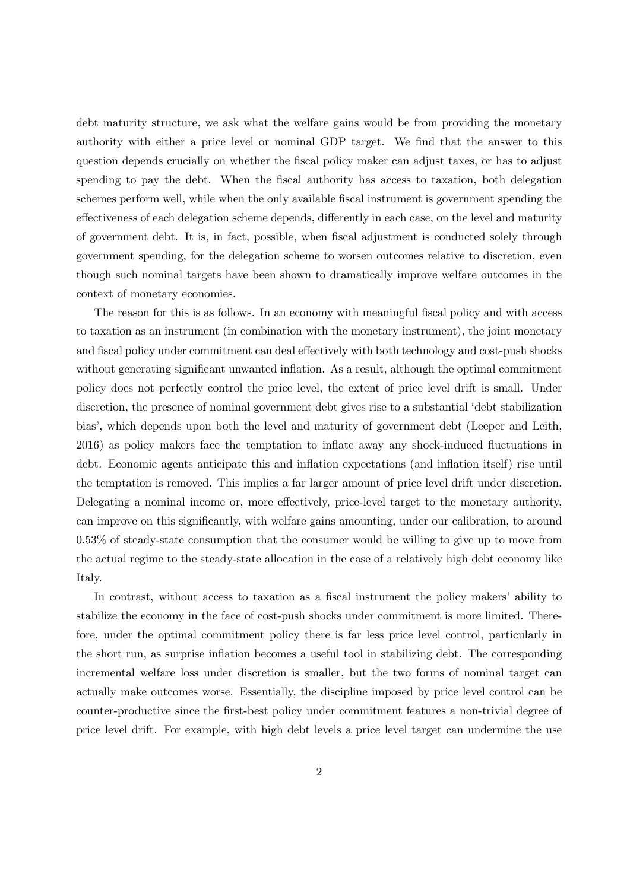debt maturity structure, we ask what the welfare gains would be from providing the monetary authority with either a price level or nominal GDP target. We find that the answer to this question depends crucially on whether the fiscal policy maker can adjust taxes, or has to adjust spending to pay the debt. When the fiscal authority has access to taxation, both delegation schemes perform well, while when the only available fiscal instrument is government spending the effectiveness of each delegation scheme depends, differently in each case, on the level and maturity of government debt. It is, in fact, possible, when fiscal adjustment is conducted solely through government spending, for the delegation scheme to worsen outcomes relative to discretion, even though such nominal targets have been shown to dramatically improve welfare outcomes in the context of monetary economies.

The reason for this is as follows. In an economy with meaningful fiscal policy and with access to taxation as an instrument (in combination with the monetary instrument), the joint monetary and fiscal policy under commitment can deal effectively with both technology and cost-push shocks without generating significant unwanted inflation. As a result, although the optimal commitment policy does not perfectly control the price level, the extent of price level drift is small. Under discretion, the presence of nominal government debt gives rise to a substantial 'debt stabilization bias', which depends upon both the level and maturity of government debt (Leeper and Leith, 2016) as policy makers face the temptation to inflate away any shock-induced fluctuations in debt. Economic agents anticipate this and inflation expectations (and inflation itself) rise until the temptation is removed. This implies a far larger amount of price level drift under discretion. Delegating a nominal income or, more effectively, price-level target to the monetary authority, can improve on this significantly, with welfare gains amounting, under our calibration, to around 0.53% of steady-state consumption that the consumer would be willing to give up to move from the actual regime to the steady-state allocation in the case of a relatively high debt economy like Italy.

In contrast, without access to taxation as a fiscal instrument the policy makers' ability to stabilize the economy in the face of cost-push shocks under commitment is more limited. Therefore, under the optimal commitment policy there is far less price level control, particularly in the short run, as surprise inflation becomes a useful tool in stabilizing debt. The corresponding incremental welfare loss under discretion is smaller, but the two forms of nominal target can actually make outcomes worse. Essentially, the discipline imposed by price level control can be counter-productive since the first-best policy under commitment features a non-trivial degree of price level drift. For example, with high debt levels a price level target can undermine the use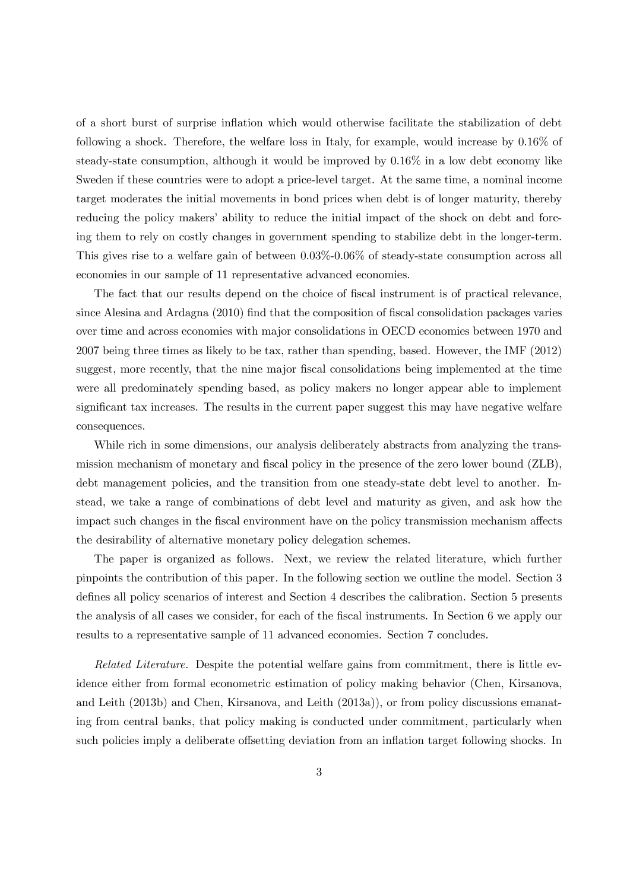of a short burst of surprise inflation which would otherwise facilitate the stabilization of debt following a shock. Therefore, the welfare loss in Italy, for example, would increase by 0.16% of steady-state consumption, although it would be improved by 0.16% in a low debt economy like Sweden if these countries were to adopt a price-level target. At the same time, a nominal income target moderates the initial movements in bond prices when debt is of longer maturity, thereby reducing the policy makers' ability to reduce the initial impact of the shock on debt and forcing them to rely on costly changes in government spending to stabilize debt in the longer-term. This gives rise to a welfare gain of between 0.03%-0.06% of steady-state consumption across all economies in our sample of 11 representative advanced economies.

The fact that our results depend on the choice of fiscal instrument is of practical relevance, since Alesina and Ardagna (2010) find that the composition of fiscal consolidation packages varies over time and across economies with major consolidations in OECD economies between 1970 and 2007 being three times as likely to be tax, rather than spending, based. However, the IMF (2012) suggest, more recently, that the nine major fiscal consolidations being implemented at the time were all predominately spending based, as policy makers no longer appear able to implement significant tax increases. The results in the current paper suggest this may have negative welfare consequences.

While rich in some dimensions, our analysis deliberately abstracts from analyzing the transmission mechanism of monetary and fiscal policy in the presence of the zero lower bound (ZLB), debt management policies, and the transition from one steady-state debt level to another. Instead, we take a range of combinations of debt level and maturity as given, and ask how the impact such changes in the fiscal environment have on the policy transmission mechanism affects the desirability of alternative monetary policy delegation schemes.

The paper is organized as follows. Next, we review the related literature, which further pinpoints the contribution of this paper*.* In the following section we outline the model. Section 3 defines all policy scenarios of interest and Section 4 describes the calibration. Section 5 presents the analysis of all cases we consider, for each of the fiscal instruments. In Section 6 we apply our results to a representative sample of 11 advanced economies. Section 7 concludes.

*Related Literature.* Despite the potential welfare gains from commitment, there is little evidence either from formal econometric estimation of policy making behavior (Chen, Kirsanova, and Leith (2013b) and Chen, Kirsanova, and Leith (2013a)), or from policy discussions emanating from central banks, that policy making is conducted under commitment, particularly when such policies imply a deliberate offsetting deviation from an inflation target following shocks. In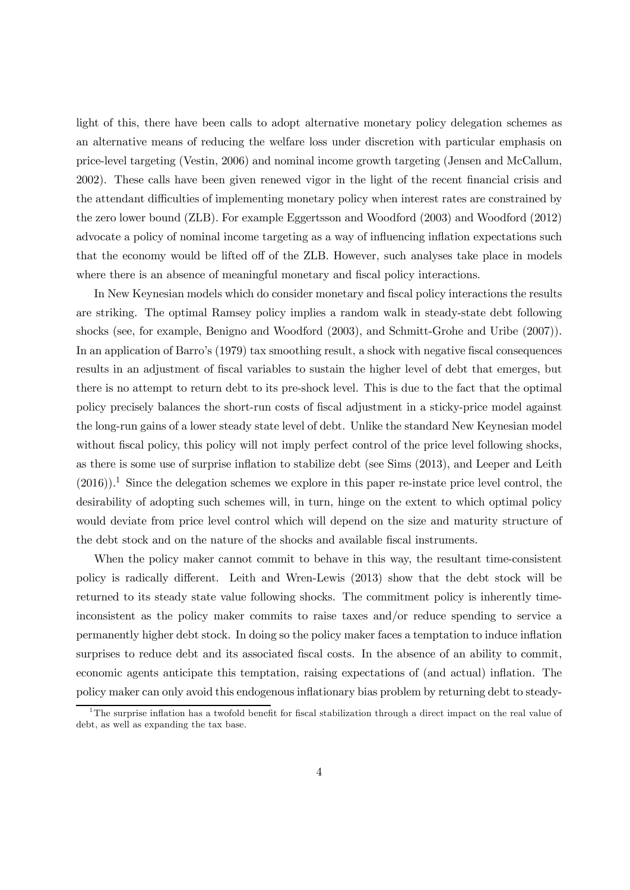light of this, there have been calls to adopt alternative monetary policy delegation schemes as an alternative means of reducing the welfare loss under discretion with particular emphasis on price-level targeting (Vestin, 2006) and nominal income growth targeting (Jensen and McCallum, 2002). These calls have been given renewed vigor in the light of the recent financial crisis and the attendant difficulties of implementing monetary policy when interest rates are constrained by the zero lower bound (ZLB). For example Eggertsson and Woodford (2003) and Woodford (2012) advocate a policy of nominal income targeting as a way of influencing inflation expectations such that the economy would be lifted off of the ZLB. However, such analyses take place in models where there is an absence of meaningful monetary and fiscal policy interactions.

In New Keynesian models which do consider monetary and fiscal policy interactions the results are striking. The optimal Ramsey policy implies a random walk in steady-state debt following shocks (see, for example, Benigno and Woodford (2003), and Schmitt-Grohe and Uribe (2007)). In an application of Barro's (1979) tax smoothing result, a shock with negative fiscal consequences results in an adjustment of fiscal variables to sustain the higher level of debt that emerges, but there is no attempt to return debt to its pre-shock level. This is due to the fact that the optimal policy precisely balances the short-run costs of fiscal adjustment in a sticky-price model against the long-run gains of a lower steady state level of debt. Unlike the standard New Keynesian model without fiscal policy, this policy will not imply perfect control of the price level following shocks, as there is some use of surprise inflation to stabilize debt (see Sims (2013), and Leeper and Leith  $(2016)$ .<sup>1</sup> Since the delegation schemes we explore in this paper re-instate price level control, the desirability of adopting such schemes will, in turn, hinge on the extent to which optimal policy would deviate from price level control which will depend on the size and maturity structure of the debt stock and on the nature of the shocks and available fiscal instruments.

When the policy maker cannot commit to behave in this way, the resultant time-consistent policy is radically different. Leith and Wren-Lewis (2013) show that the debt stock will be returned to its steady state value following shocks. The commitment policy is inherently timeinconsistent as the policy maker commits to raise taxes and/or reduce spending to service a permanently higher debt stock. In doing so the policy maker faces a temptation to induce inflation surprises to reduce debt and its associated fiscal costs. In the absence of an ability to commit, economic agents anticipate this temptation, raising expectations of (and actual) inflation. The policy maker can only avoid this endogenous inflationary bias problem by returning debt to steady-

<sup>&</sup>lt;sup>1</sup>The surprise inflation has a twofold benefit for fiscal stabilization through a direct impact on the real value of debt, as well as expanding the tax base.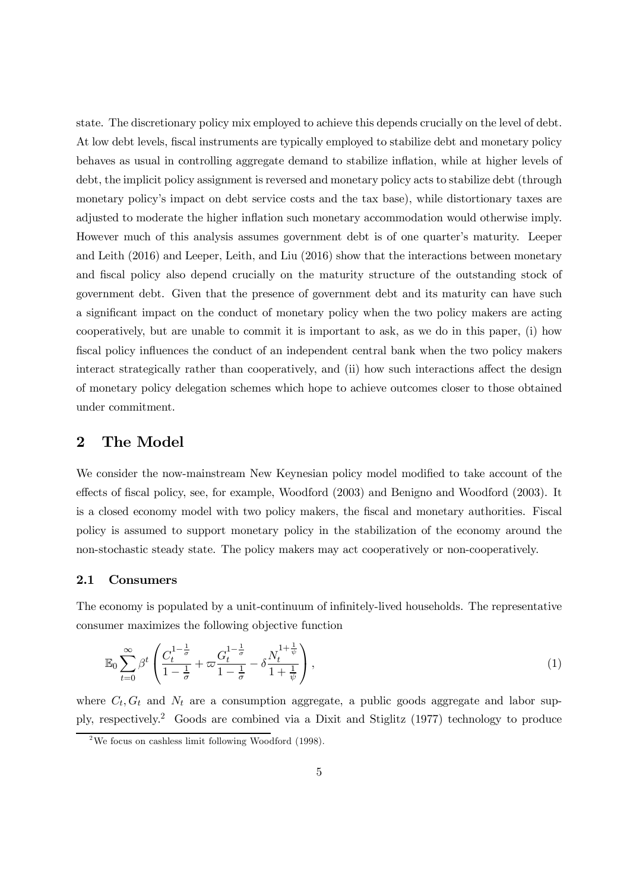state. The discretionary policy mix employed to achieve this depends crucially on the level of debt. At low debt levels, fiscal instruments are typically employed to stabilize debt and monetary policy behaves as usual in controlling aggregate demand to stabilize inflation, while at higher levels of debt, the implicit policy assignment is reversed and monetary policy acts to stabilize debt (through monetary policy's impact on debt service costs and the tax base), while distortionary taxes are adjusted to moderate the higher inflation such monetary accommodation would otherwise imply. However much of this analysis assumes government debt is of one quarter's maturity. Leeper and Leith (2016) and Leeper, Leith, and Liu (2016) show that the interactions between monetary and fiscal policy also depend crucially on the maturity structure of the outstanding stock of government debt. Given that the presence of government debt and its maturity can have such a significant impact on the conduct of monetary policy when the two policy makers are acting cooperatively, but are unable to commit it is important to ask, as we do in this paper, (i) how fiscal policy influences the conduct of an independent central bank when the two policy makers interact strategically rather than cooperatively, and (ii) how such interactions affect the design of monetary policy delegation schemes which hope to achieve outcomes closer to those obtained under commitment.

## 2 The Model

We consider the now-mainstream New Keynesian policy model modified to take account of the effects of fiscal policy, see, for example, Woodford (2003) and Benigno and Woodford (2003). It is a closed economy model with two policy makers, the fiscal and monetary authorities. Fiscal policy is assumed to support monetary policy in the stabilization of the economy around the non-stochastic steady state. The policy makers may act cooperatively or non-cooperatively.

### 2.1 Consumers

The economy is populated by a unit-continuum of infinitely-lived households. The representative consumer maximizes the following objective function

$$
\mathbb{E}_0 \sum_{t=0}^{\infty} \beta^t \left( \frac{C_t^{1-\frac{1}{\sigma}}}{1-\frac{1}{\sigma}} + \varpi \frac{G_t^{1-\frac{1}{\sigma}}}{1-\frac{1}{\sigma}} - \delta \frac{N_t^{1+\frac{1}{\psi}}}{1+\frac{1}{\psi}} \right), \tag{1}
$$

where  $C_t$ ,  $G_t$  and  $N_t$  are a consumption aggregate, a public goods aggregate and labor supply, respectively.<sup>2</sup> Goods are combined via a Dixit and Stiglitz (1977) technology to produce

<sup>&</sup>lt;sup>2</sup>We focus on cashless limit following Woodford  $(1998)$ .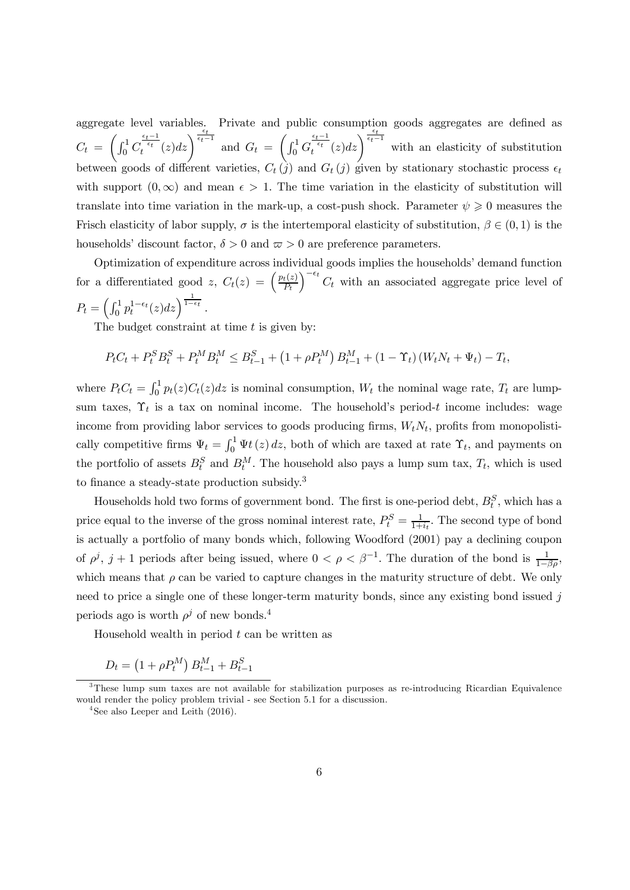aggregate level variables. Private and public consumption goods aggregates are defined as  $C_t =$  $\int_0^1 C$  $\int_{t}^{\frac{\epsilon_t-1}{\epsilon_t}}(z)dz\Big)^{\frac{\epsilon_t}{\epsilon_t-1}}$  and  $G_t =$  $\int_0^1 G$  $\frac{\epsilon_t-1}{t^{i_t}}(z)dz\Big)^{\frac{\epsilon_t}{\epsilon_t-1}}$  with an elasticity of substitution between goods of different varieties,  $C_t(\hat{j})$  and  $G_t(j)$  given by stationary stochastic process  $\epsilon_t$ with support  $(0, \infty)$  and mean  $\epsilon > 1$ . The time variation in the elasticity of substitution will translate into time variation in the mark-up, a cost-push shock. Parameter  $\psi \geq 0$  measures the Frisch elasticity of labor supply,  $\sigma$  is the intertemporal elasticity of substitution,  $\beta \in (0,1)$  is the households' discount factor,  $\delta > 0$  and  $\varpi > 0$  are preference parameters.

Optimization of expenditure across individual goods implies the households' demand function for a differentiated good z,  $C_t(z) = \left(\frac{p_t(z)}{P_t}\right)^{z}$  $P_t$  $\int_{0}^{-\epsilon_t} C_t$  with an associated aggregate price level of  $P_t = \left( \int_0^1 p_t^{1-\epsilon_t}(z) dz \right)^{\frac{1}{1-\epsilon_t}}.$ 

The budget constraint at time  $t$  is given by:

$$
P_t C_t + P_t^S B_t^S + P_t^M B_t^M \leq B_{t-1}^S + \left(1 + \rho P_t^M\right) B_{t-1}^M + \left(1 - \Upsilon_t\right) \left(W_t N_t + \Psi_t\right) - T_t,
$$

where  $P_t C_t = \int_0^1 p_t(z) C_t(z) dz$  is nominal consumption,  $W_t$  the nominal wage rate,  $T_t$  are lumpsum taxes,  $\Upsilon_t$  is a tax on nominal income. The household's period-t income includes: wage income from providing labor services to goods producing firms,  $W_t N_t$ , profits from monopolistically competitive firms  $\Psi_t = \int_0^1 \Psi(t) dt$ , both of which are taxed at rate  $\Upsilon_t$ , and payments on the portfolio of assets  $B_t^S$  and  $B_t^M$ . The household also pays a lump sum tax,  $T_t$ , which is used to finance a steady-state production subsidy.<sup>3</sup>

Households hold two forms of government bond. The first is one-period debt,  $B_t^S$ , which has a price equal to the inverse of the gross nominal interest rate,  $P_t^S = \frac{1}{1 + \epsilon}$  $\frac{1}{1+i_t}$ . The second type of bond is actually a portfolio of many bonds which, following Woodford (2001) pay a declining coupon of  $\rho^j$ ,  $j+1$  periods after being issued, where  $0 < \rho < \beta^{-1}$ . The duration of the bond is  $\frac{1}{1-\beta\rho}$ , which means that  $\rho$  can be varied to capture changes in the maturity structure of debt. We only need to price a single one of these longer-term maturity bonds, since any existing bond issued j periods ago is worth  $\rho^j$  of new bonds.<sup>4</sup>

Household wealth in period  $t$  can be written as

$$
D_t = (1 + \rho P_t^M) B_{t-1}^M + B_{t-1}^S
$$

 $3$ These lump sum taxes are not available for stabilization purposes as re-introducing Ricardian Equivalence would render the policy problem trivial - see Section 5.1 for a discussion.

<sup>&</sup>lt;sup>4</sup>See also Leeper and Leith (2016).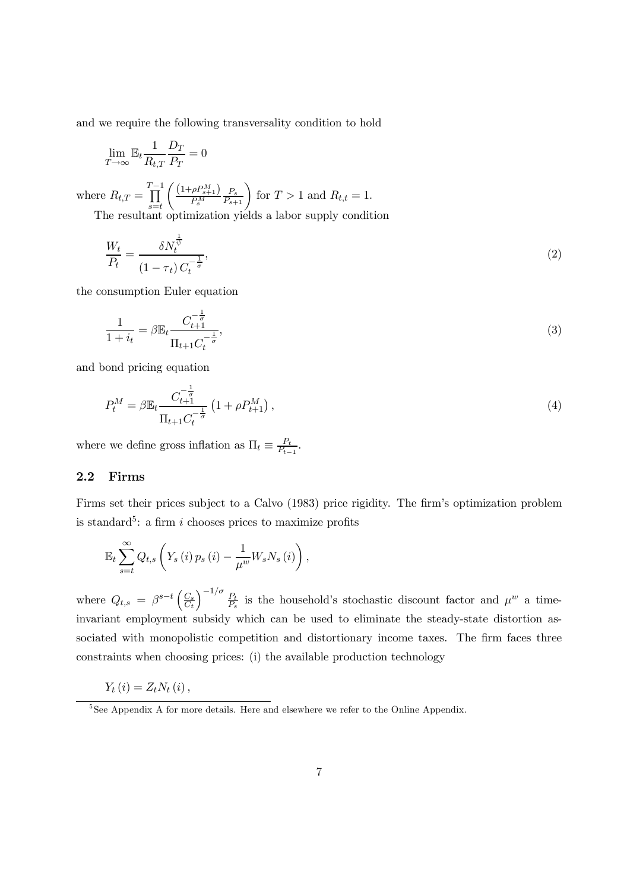and we require the following transversality condition to hold

$$
\lim_{T \to \infty} \mathbb{E}_t \frac{1}{R_{t,T}} \frac{D_T}{P_T} = 0
$$

where  $R_{t,T} =$  $\prod^{T-1}$  $s = t$  $(1+\rho P_{s+1}^M)$  $\frac{P_{s}^{PM}}{P_{s}^{M}} \frac{P_{s}}{P_{s+1}}$  for  $T > 1$  and  $R_{t,t} = 1$ . The resultant optimization yields a labor supply condition

1

$$
\frac{W_t}{P_t} = \frac{\delta N_t^{\overline{\psi}}}{(1 - \tau_t) C_t^{-\frac{1}{\sigma}}},\tag{2}
$$

the consumption Euler equation

$$
\frac{1}{1+i_t} = \beta \mathbb{E}_t \frac{C_{t+1}^{-\frac{1}{\sigma}}}{\Pi_{t+1} C_t^{-\frac{1}{\sigma}}},\tag{3}
$$

and bond pricing equation

$$
P_t^M = \beta \mathbb{E}_t \frac{C_{t+1}^{-\frac{1}{\sigma}}}{\Pi_{t+1} C_t^{-\frac{1}{\sigma}}} \left( 1 + \rho P_{t+1}^M \right),\tag{4}
$$

where we define gross inflation as  $\Pi_t \equiv \frac{P_t}{P_t}$  $\frac{P_t}{P_{t-1}}$ .

#### 2.2 Firms

Firms set their prices subject to a Calvo (1983) price rigidity. The firm's optimization problem is standard<sup>5</sup>: a firm i chooses prices to maximize profits

$$
\mathbb{E}_{t}\sum_{s=t}^{\infty}Q_{t,s}\left(Y_{s}\left(i\right)p_{s}\left(i\right)-\frac{1}{\mu^{w}}W_{s}N_{s}\left(i\right)\right),\,
$$

where  $Q_{t,s} = \beta^{s-t} \left( \frac{C_s}{C_t} \right)$  $C_t$  $\int^{-1/\sigma} P_t$  $\frac{P_t}{P_s}$  is the household's stochastic discount factor and  $\mu^w$  a timeinvariant employment subsidy which can be used to eliminate the steady-state distortion associated with monopolistic competition and distortionary income taxes. The firm faces three constraints when choosing prices: (i) the available production technology

$$
Y_{t}(i)=Z_{t}N_{t}(i),
$$

<sup>&</sup>lt;sup>5</sup>See Appendix A for more details. Here and elsewhere we refer to the Online Appendix.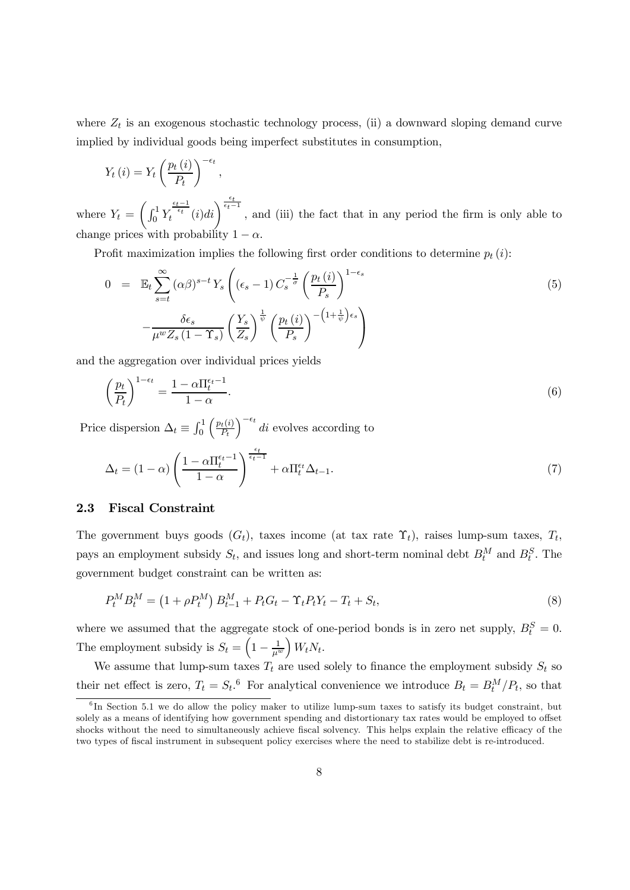where  $Z_t$  is an exogenous stochastic technology process, (ii) a downward sloping demand curve implied by individual goods being imperfect substitutes in consumption,

$$
Y_t(i) = Y_t \left(\frac{p_t(i)}{P_t}\right)^{-\epsilon_t},
$$

where  $Y_t =$  $\int_0^1 Y$  $\frac{\epsilon_t-1}{\epsilon_t-\epsilon_t}(i)di\bigg)^{\frac{\epsilon_t}{\epsilon_t-1}}$ , and (iii) the fact that in any period the firm is only able to change prices with probability  $1 - \alpha$ .

Profit maximization implies the following first order conditions to determine  $p_t(i)$ :

$$
0 = \mathbb{E}_t \sum_{s=t}^{\infty} (\alpha \beta)^{s-t} Y_s \left( (\epsilon_s - 1) C_s^{-\frac{1}{\sigma}} \left( \frac{p_t(i)}{P_s} \right)^{1-\epsilon_s} - \frac{\delta \epsilon_s}{\mu^w Z_s (1-\Upsilon_s)} \left( \frac{Y_s}{Z_s} \right)^{\frac{1}{\psi}} \left( \frac{p_t(i)}{P_s} \right)^{-\left(1+\frac{1}{\psi}\right)\epsilon_s} \right)
$$
\n
$$
(5)
$$

and the aggregation over individual prices yields

$$
\left(\frac{p_t}{P_t}\right)^{1-\epsilon_t} = \frac{1-\alpha \Pi_t^{\epsilon_t - 1}}{1-\alpha}.\tag{6}
$$

Price dispersion  $\Delta_t \equiv \int_0^1$  $\int p_t(i)$  $P_t$  $\int_{0}^{-\epsilon_t}$  di evolves according to

$$
\Delta_t = (1 - \alpha) \left( \frac{1 - \alpha \Pi_t^{\epsilon_t - 1}}{1 - \alpha} \right)^{\frac{\epsilon_t}{\epsilon_t - 1}} + \alpha \Pi_t^{\epsilon_t} \Delta_{t-1}.
$$
\n(7)

### 2.3 Fiscal Constraint

The government buys goods  $(G_t)$ , taxes income (at tax rate  $\Upsilon_t$ ), raises lump-sum taxes,  $T_t$ , pays an employment subsidy  $S_t$ , and issues long and short-term nominal debt  $B_t^M$  and  $B_t^S$ . The government budget constraint can be written as:

$$
P_t^M B_t^M = (1 + \rho P_t^M) B_{t-1}^M + P_t G_t - \Upsilon_t P_t Y_t - T_t + S_t,
$$
\n(8)

where we assumed that the aggregate stock of one-period bonds is in zero net supply,  $B_t^S = 0$ . The employment subsidy is  $S_t = \left(1 - \frac{1}{\mu^w}\right)$  $\Big) W_t N_t.$ 

We assume that lump-sum taxes  $T_t$  are used solely to finance the employment subsidy  $S_t$  so their net effect is zero,  $T_t = S_t$ .<sup>6</sup> For analytical convenience we introduce  $B_t = B_t^M/P_t$ , so that

<sup>&</sup>lt;sup>6</sup>In Section 5.1 we do allow the policy maker to utilize lump-sum taxes to satisfy its budget constraint, but solely as a means of identifying how government spending and distortionary tax rates would be employed to offset shocks without the need to simultaneously achieve fiscal solvency. This helps explain the relative efficacy of the two types of fiscal instrument in subsequent policy exercises where the need to stabilize debt is re-introduced.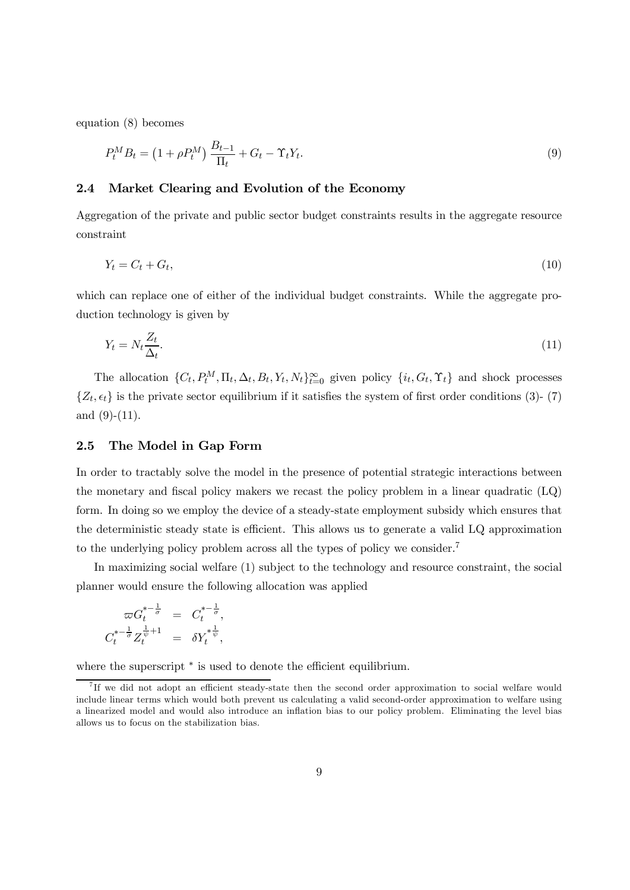equation (8) becomes

$$
P_t^M B_t = (1 + \rho P_t^M) \frac{B_{t-1}}{\Pi_t} + G_t - \Upsilon_t Y_t.
$$
\n(9)

#### 2.4 Market Clearing and Evolution of the Economy

Aggregation of the private and public sector budget constraints results in the aggregate resource constraint

$$
Y_t = C_t + G_t,\tag{10}
$$

which can replace one of either of the individual budget constraints. While the aggregate production technology is given by

$$
Y_t = N_t \frac{Z_t}{\Delta_t}.\tag{11}
$$

The allocation  $\{C_t, P_t^M, \Pi_t, \Delta_t, B_t, Y_t, N_t\}_{t=0}^{\infty}$  given policy  $\{i_t, G_t, \Upsilon_t\}$  and shock processes  $\{Z_t, \epsilon_t\}$  is the private sector equilibrium if it satisfies the system of first order conditions (3)-(7) and  $(9)-(11)$ .

### 2.5 The Model in Gap Form

In order to tractably solve the model in the presence of potential strategic interactions between the monetary and fiscal policy makers we recast the policy problem in a linear quadratic (LQ) form. In doing so we employ the device of a steady-state employment subsidy which ensures that the deterministic steady state is efficient. This allows us to generate a valid LQ approximation to the underlying policy problem across all the types of policy we consider.<sup>7</sup>

In maximizing social welfare (1) subject to the technology and resource constraint, the social planner would ensure the following allocation was applied

$$
\varpi G_t^{*-\frac{1}{\sigma}} = C_t^{*-\frac{1}{\sigma}},
$$
  

$$
C_t^{*-\frac{1}{\sigma}} Z_t^{\frac{1}{\psi}+1} = \delta Y_t^{* \frac{1}{\psi}},
$$

where the superscript  $*$  is used to denote the efficient equilibrium.

<sup>7</sup> If we did not adopt an efficient steady-state then the second order approximation to social welfare would include linear terms which would both prevent us calculating a valid second-order approximation to welfare using a linearized model and would also introduce an inflation bias to our policy problem. Eliminating the level bias allows us to focus on the stabilization bias.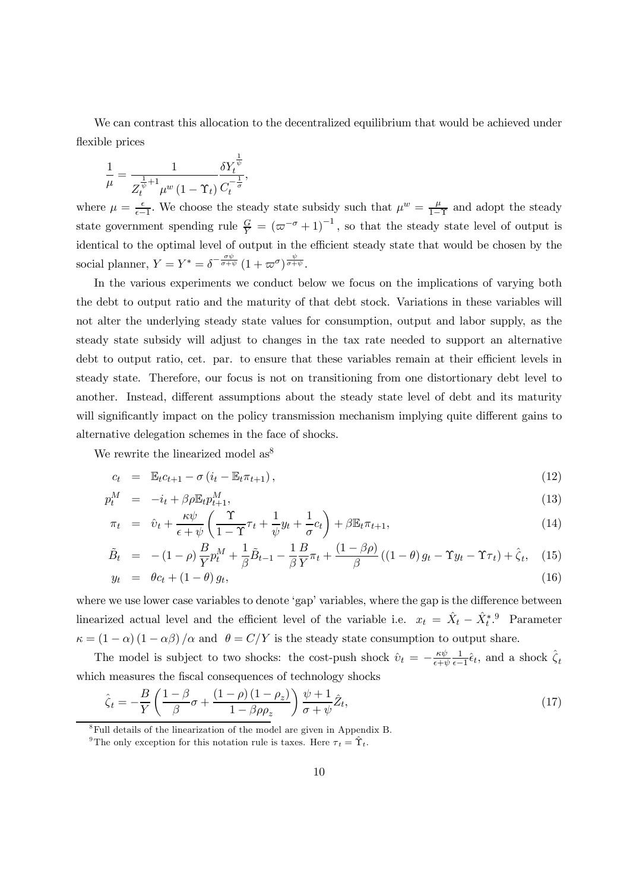We can contrast this allocation to the decentralized equilibrium that would be achieved under flexible prices

$$
\frac{1}{\mu} = \frac{1}{Z_t^{\frac{1}{\psi} + 1} \mu^w (1 - \Upsilon_t)} \frac{\delta Y_t^{\frac{1}{\psi}}}{C_t^{-\frac{1}{\sigma}}},
$$

where  $\mu = \frac{\epsilon}{\epsilon - \epsilon}$  $\frac{\epsilon}{\epsilon-1}$ . We choose the steady state subsidy such that  $\mu^w = \frac{\mu}{1-\epsilon}$  $\frac{\mu}{1-\Upsilon}$  and adopt the steady state government spending rule  $\frac{G}{Y} = (\varpi^{-\sigma} + 1)^{-1}$ , so that the steady state level of output is identical to the optimal level of output in the efficient steady state that would be chosen by the social planner,  $Y = Y^* = \delta^{-\frac{\sigma \psi}{\sigma + \psi}} (1 + \varpi^{\sigma})^{\frac{\psi}{\sigma + \psi}}$ .

In the various experiments we conduct below we focus on the implications of varying both the debt to output ratio and the maturity of that debt stock. Variations in these variables will not alter the underlying steady state values for consumption, output and labor supply, as the steady state subsidy will adjust to changes in the tax rate needed to support an alternative debt to output ratio, cet. par. to ensure that these variables remain at their efficient levels in steady state. Therefore, our focus is not on transitioning from one distortionary debt level to another. Instead, different assumptions about the steady state level of debt and its maturity will significantly impact on the policy transmission mechanism implying quite different gains to alternative delegation schemes in the face of shocks.

We rewrite the linearized model as<sup>8</sup>

$$
c_t = \mathbb{E}_t c_{t+1} - \sigma \left( i_t - \mathbb{E}_t \pi_{t+1} \right), \tag{12}
$$

$$
p_t^M = -i_t + \beta \rho \mathbb{E}_t p_{t+1}^M, \tag{13}
$$

$$
\pi_t = \hat{v}_t + \frac{\kappa \psi}{\epsilon + \psi} \left( \frac{\Upsilon}{1 - \Upsilon} \tau_t + \frac{1}{\psi} y_t + \frac{1}{\sigma} c_t \right) + \beta \mathbb{E}_t \pi_{t+1},\tag{14}
$$

$$
\tilde{B}_t = -(1-\rho)\frac{B}{Y}p_t^M + \frac{1}{\beta}\tilde{B}_{t-1} - \frac{1}{\beta}\frac{B}{Y}\pi_t + \frac{(1-\beta\rho)}{\beta}\left((1-\theta)g_t - \Upsilon y_t - \Upsilon\tau_t\right) + \hat{\zeta}_t,\tag{15}
$$

$$
y_t = \theta c_t + (1 - \theta) g_t, \tag{16}
$$

where we use lower case variables to denote 'gap' variables, where the gap is the difference between linearized actual level and the efficient level of the variable i.e.  $x_t = \hat{X}_t - \hat{X}_t^{*}$ . Parameter  $\kappa = (1 - \alpha) (1 - \alpha \beta) / \alpha$  and  $\theta = C/Y$  is the steady state consumption to output share.

The model is subject to two shocks: the cost-push shock  $\hat{v}_t = -\frac{\kappa \psi}{\epsilon + i}$  $\epsilon + \psi$ 1  $\frac{1}{\epsilon-1}\hat{\epsilon}_t$ , and a shock  $\hat{\zeta}_t$ which measures the fiscal consequences of technology shocks

$$
\hat{\zeta}_t = -\frac{B}{Y} \left( \frac{1-\beta}{\beta} \sigma + \frac{(1-\rho)(1-\rho_z)}{1-\beta \rho \rho_z} \right) \frac{\psi+1}{\sigma+\psi} \hat{Z}_t,\tag{17}
$$

<sup>8</sup>Full details of the linearization of the model are given in Appendix B.

<sup>&</sup>lt;sup>9</sup>The only exception for this notation rule is taxes. Here  $\tau_t = \hat{\Upsilon}_t$ .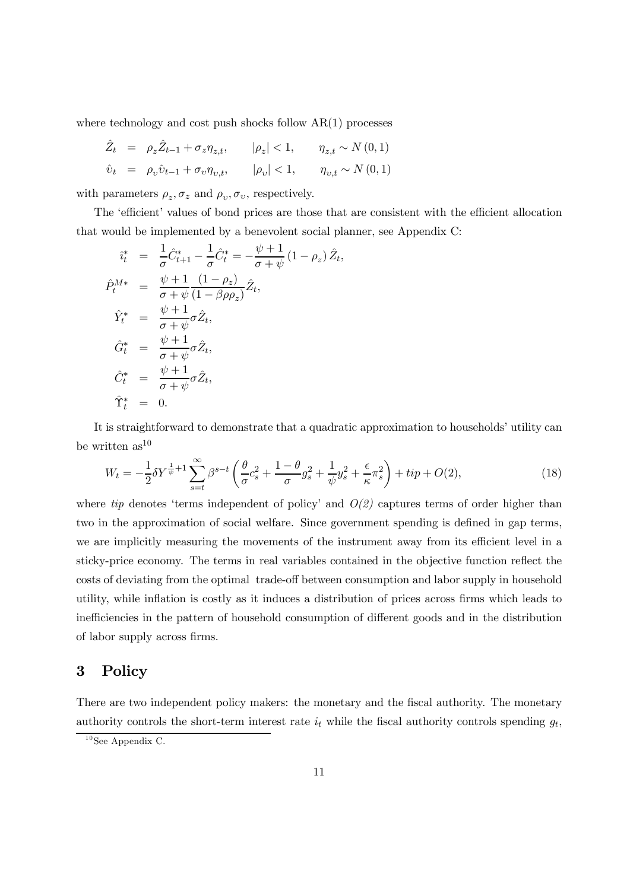where technology and cost push shocks follow  $AR(1)$  processes

$$
\begin{array}{rcl}\n\hat{Z}_t & = & \rho_z \hat{Z}_{t-1} + \sigma_z \eta_{z,t}, & & |\rho_z| < 1, & \eta_{z,t} \sim N(0,1) \\
\hat{v}_t & = & \rho_v \hat{v}_{t-1} + \sigma_v \eta_{v,t}, & & |\rho_v| < 1, & \eta_{v,t} \sim N(0,1)\n\end{array}
$$

with parameters  $\rho_z$ ,  $\sigma_z$  and  $\rho_v$ ,  $\sigma_v$ , respectively.

The 'efficient' values of bond prices are those that are consistent with the efficient allocation that would be implemented by a benevolent social planner, see Appendix C:

$$
\begin{aligned}\n\hat{i}_t^* &= \frac{1}{\sigma} \hat{C}_{t+1}^* - \frac{1}{\sigma} \hat{C}_t^* = -\frac{\psi + 1}{\sigma + \psi} (1 - \rho_z) \hat{Z}_t, \\
\hat{P}_t^{M*} &= \frac{\psi + 1}{\sigma + \psi} \frac{(1 - \rho_z)}{(1 - \beta \rho \rho_z)} \hat{Z}_t, \\
\hat{Y}_t^* &= \frac{\psi + 1}{\sigma + \psi} \sigma \hat{Z}_t, \\
\hat{G}_t^* &= \frac{\psi + 1}{\sigma + \psi} \sigma \hat{Z}_t, \\
\hat{C}_t^* &= \frac{\psi + 1}{\sigma + \psi} \sigma \hat{Z}_t, \\
\hat{Y}_t^* &= 0.\n\end{aligned}
$$

It is straightforward to demonstrate that a quadratic approximation to households' utility can be written  $as^{10}$ 

$$
W_t = -\frac{1}{2}\delta Y^{\frac{1}{\psi}+1} \sum_{s=t}^{\infty} \beta^{s-t} \left(\frac{\theta}{\sigma} c_s^2 + \frac{1-\theta}{\sigma} g_s^2 + \frac{1}{\psi} y_s^2 + \frac{\epsilon}{\kappa} \pi_s^2\right) + tip + O(2),\tag{18}
$$

where *tip* denotes 'terms independent of policy' and  $O(2)$  captures terms of order higher than two in the approximation of social welfare. Since government spending is defined in gap terms, we are implicitly measuring the movements of the instrument away from its efficient level in a sticky-price economy. The terms in real variables contained in the objective function reflect the costs of deviating from the optimal trade-off between consumption and labor supply in household utility, while inflation is costly as it induces a distribution of prices across firms which leads to inefficiencies in the pattern of household consumption of different goods and in the distribution of labor supply across firms.

## 3 Policy

There are two independent policy makers: the monetary and the fiscal authority. The monetary authority controls the short-term interest rate  $i_t$  while the fiscal authority controls spending  $g_t$ ,

 $10$  See Appendix C.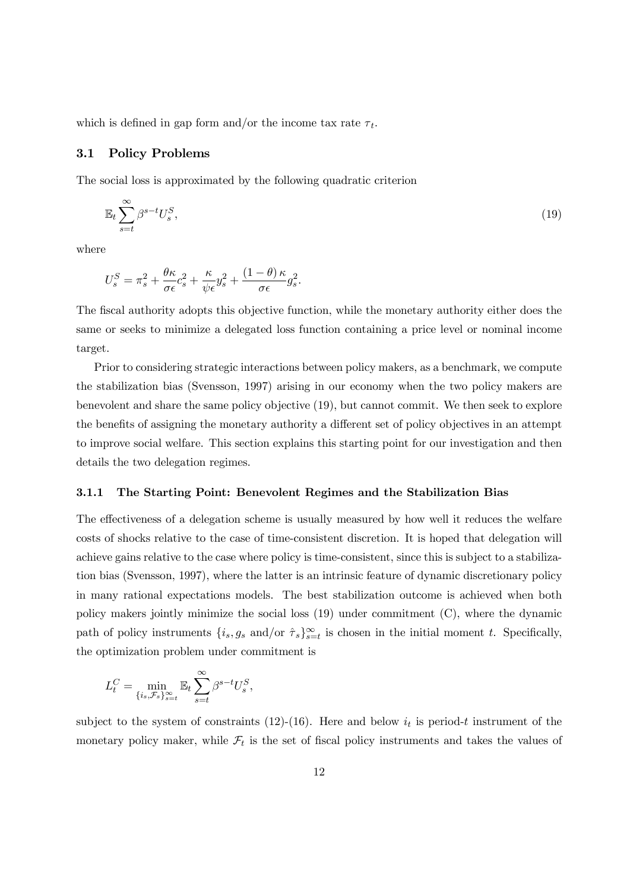which is defined in gap form and/or the income tax rate  $\tau_t$ .

#### 3.1 Policy Problems

The social loss is approximated by the following quadratic criterion

$$
\mathbb{E}_t \sum_{s=t}^{\infty} \beta^{s-t} U_s^S,\tag{19}
$$

where

$$
U_s^S = \pi_s^2 + \frac{\theta \kappa}{\sigma \epsilon} c_s^2 + \frac{\kappa}{\psi \epsilon} y_s^2 + \frac{(1 - \theta) \kappa}{\sigma \epsilon} g_s^2.
$$

The fiscal authority adopts this objective function, while the monetary authority either does the same or seeks to minimize a delegated loss function containing a price level or nominal income target.

Prior to considering strategic interactions between policy makers, as a benchmark, we compute the stabilization bias (Svensson, 1997) arising in our economy when the two policy makers are benevolent and share the same policy objective (19), but cannot commit. We then seek to explore the benefits of assigning the monetary authority a different set of policy objectives in an attempt to improve social welfare. This section explains this starting point for our investigation and then details the two delegation regimes.

#### 3.1.1 The Starting Point: Benevolent Regimes and the Stabilization Bias

The effectiveness of a delegation scheme is usually measured by how well it reduces the welfare costs of shocks relative to the case of time-consistent discretion. It is hoped that delegation will achieve gains relative to the case where policy is time-consistent, since this is subject to a stabilization bias (Svensson, 1997), where the latter is an intrinsic feature of dynamic discretionary policy in many rational expectations models. The best stabilization outcome is achieved when both policy makers jointly minimize the social loss (19) under commitment (C), where the dynamic path of policy instruments  $\{i_s, g_s \text{ and/or } \hat{\tau}_s\}_{s=t}^{\infty}$  is chosen in the initial moment t. Specifically, the optimization problem under commitment is

$$
L_t^C = \min_{\{i_s, \mathcal{F}_s\}_{s=t}^{\infty}} \mathbb{E}_t \sum_{s=t}^{\infty} \beta^{s-t} U_s^S,
$$

subject to the system of constraints (12)-(16). Here and below  $i_t$  is period-t instrument of the monetary policy maker, while  $\mathcal{F}_t$  is the set of fiscal policy instruments and takes the values of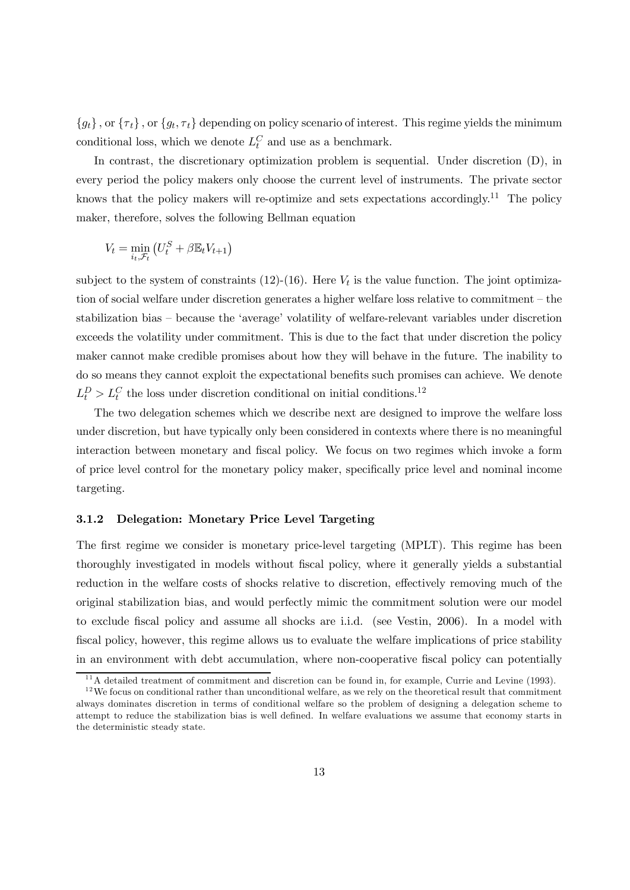$\{g_t\}$ , or  $\{\tau_t\}$ , or  $\{g_t, \tau_t\}$  depending on policy scenario of interest. This regime yields the minimum conditional loss, which we denote  $L_t^C$  and use as a benchmark.

In contrast, the discretionary optimization problem is sequential. Under discretion  $(D)$ , in every period the policy makers only choose the current level of instruments. The private sector knows that the policy makers will re-optimize and sets expectations accordingly.<sup>11</sup> The policy maker, therefore, solves the following Bellman equation

$$
V_t = \min_{i_t, \mathcal{F}_t} \left( U_t^S + \beta \mathbb{E}_t V_{t+1} \right)
$$

subject to the system of constraints  $(12)-(16)$ . Here  $V_t$  is the value function. The joint optimization of social welfare under discretion generates a higher welfare loss relative to commitment — the stabilization bias — because the 'average' volatility of welfare-relevant variables under discretion exceeds the volatility under commitment. This is due to the fact that under discretion the policy maker cannot make credible promises about how they will behave in the future. The inability to do so means they cannot exploit the expectational benefits such promises can achieve. We denote  $L_t^D > L_t^C$  the loss under discretion conditional on initial conditions.<sup>12</sup>

The two delegation schemes which we describe next are designed to improve the welfare loss under discretion, but have typically only been considered in contexts where there is no meaningful interaction between monetary and fiscal policy. We focus on two regimes which invoke a form of price level control for the monetary policy maker, specifically price level and nominal income targeting.

### 3.1.2 Delegation: Monetary Price Level Targeting

The first regime we consider is monetary price-level targeting (MPLT). This regime has been thoroughly investigated in models without fiscal policy, where it generally yields a substantial reduction in the welfare costs of shocks relative to discretion, effectively removing much of the original stabilization bias, and would perfectly mimic the commitment solution were our model to exclude fiscal policy and assume all shocks are i.i.d. (see Vestin, 2006). In a model with fiscal policy, however, this regime allows us to evaluate the welfare implications of price stability in an environment with debt accumulation, where non-cooperative fiscal policy can potentially

 $11$ A detailed treatment of commitment and discretion can be found in, for example, Currie and Levine (1993).

 $12$  We focus on conditional rather than unconditional welfare, as we rely on the theoretical result that commitment always dominates discretion in terms of conditional welfare so the problem of designing a delegation scheme to attempt to reduce the stabilization bias is well defined. In welfare evaluations we assume that economy starts in the deterministic steady state.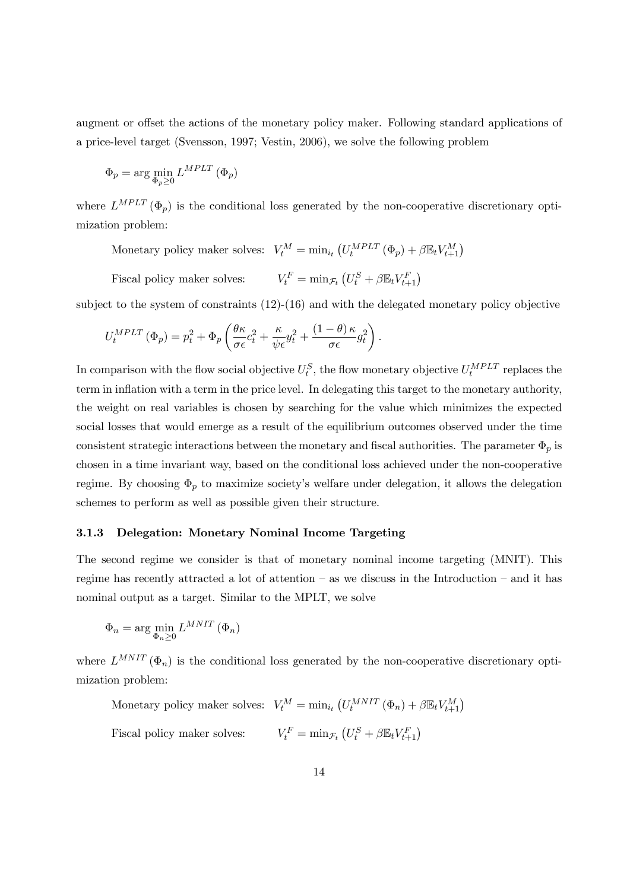augment or offset the actions of the monetary policy maker. Following standard applications of a price-level target (Svensson, 1997; Vestin, 2006), we solve the following problem

$$
\Phi_p = \arg\min_{\Phi_p \ge 0} L^{MPLT} (\Phi_p)
$$

where  $L^{MPLT}(\Phi_p)$  is the conditional loss generated by the non-cooperative discretionary optimization problem:

Monetary policy maker solves:  $V_t^M = \min_{i_t} (U_t^{MPLT} (\Phi_p) + \beta \mathbb{E}_t V_{t+1}^M)$ 

Fiscal policy maker solves:  $\tau_t^F = \min_{\mathcal{F}_t} (U_t^S + \beta \mathbb{E}_t V_{t+1}^F)$ 

subject to the system of constraints  $(12)-(16)$  and with the delegated monetary policy objective

$$
U_t^{MPLT} (\Phi_p) = p_t^2 + \Phi_p \left( \frac{\theta \kappa}{\sigma \epsilon} c_t^2 + \frac{\kappa}{\psi \epsilon} y_t^2 + \frac{(1 - \theta) \kappa}{\sigma \epsilon} g_t^2 \right).
$$

In comparison with the flow social objective  $U_t^S$ , the flow monetary objective  $U_t^{MPLT}$  replaces the term in inflation with a term in the price level. In delegating this target to the monetary authority, the weight on real variables is chosen by searching for the value which minimizes the expected social losses that would emerge as a result of the equilibrium outcomes observed under the time consistent strategic interactions between the monetary and fiscal authorities. The parameter  $\Phi_p$  is chosen in a time invariant way, based on the conditional loss achieved under the non-cooperative regime. By choosing  $\Phi_p$  to maximize society's welfare under delegation, it allows the delegation schemes to perform as well as possible given their structure.

#### 3.1.3 Delegation: Monetary Nominal Income Targeting

The second regime we consider is that of monetary nominal income targeting (MNIT). This regime has recently attracted a lot of attention — as we discuss in the Introduction — and it has nominal output as a target. Similar to the MPLT, we solve

$$
\Phi_n = \arg\min_{\Phi_n \ge 0} L^{MNIT} (\Phi_n)
$$

where  $L^{MNIT}(\Phi_n)$  is the conditional loss generated by the non-cooperative discretionary optimization problem:

Monetary policy maker solves:  $V_t^M = \min_{i_t} (U_t^{MNIT} (\Phi_n) + \beta \mathbb{E}_t V_{t+1}^M)$ Fiscal policy maker solves:  $V_t^F = \min_{\mathcal{F}_t} (U_t^S + \beta \mathbb{E}_t V_{t+1}^F)$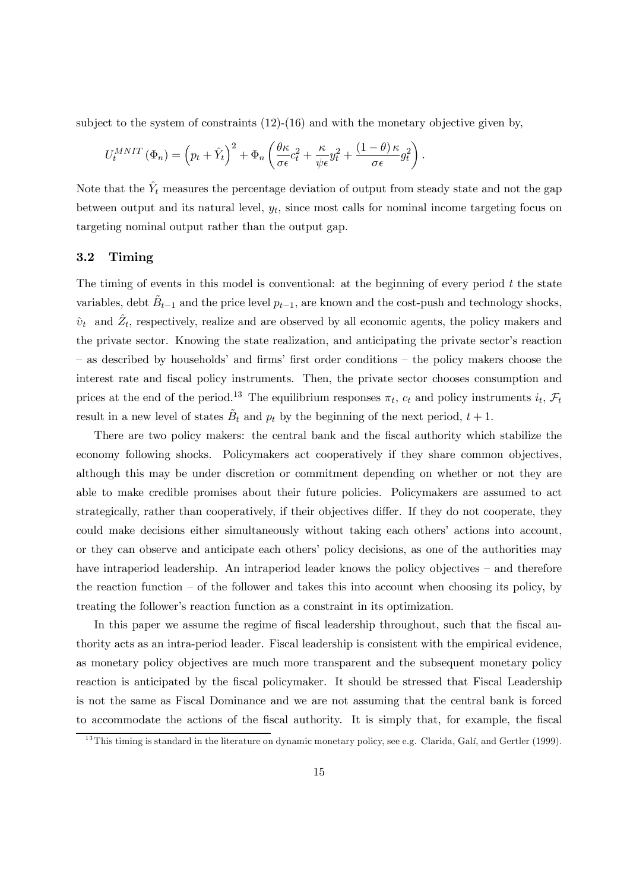subject to the system of constraints  $(12)-(16)$  and with the monetary objective given by,

$$
U_t^{MNIT}(\Phi_n) = \left(p_t + \hat{Y}_t\right)^2 + \Phi_n \left(\frac{\theta \kappa}{\sigma \epsilon} c_t^2 + \frac{\kappa}{\psi \epsilon} y_t^2 + \frac{(1-\theta)\kappa}{\sigma \epsilon} g_t^2\right).
$$

Note that the  $\hat{Y}_t$  measures the percentage deviation of output from steady state and not the gap between output and its natural level,  $y_t$ , since most calls for nominal income targeting focus on targeting nominal output rather than the output gap.

### 3.2 Timing

The timing of events in this model is conventional: at the beginning of every period  $t$  the state variables, debt  $\tilde{B}_{t-1}$  and the price level  $p_{t-1}$ , are known and the cost-push and technology shocks,  $\hat{v}_t$  and  $\hat{Z}_t$ , respectively, realize and are observed by all economic agents, the policy makers and the private sector. Knowing the state realization, and anticipating the private sector's reaction — as described by households' and firms' first order conditions — the policy makers choose the interest rate and fiscal policy instruments. Then, the private sector chooses consumption and prices at the end of the period.<sup>13</sup> The equilibrium responses  $\pi_t$ ,  $c_t$  and policy instruments  $i_t$ ,  $\mathcal{F}_t$ result in a new level of states  $\tilde{B}_t$  and  $p_t$  by the beginning of the next period,  $t + 1$ .

There are two policy makers: the central bank and the fiscal authority which stabilize the economy following shocks. Policymakers act cooperatively if they share common objectives, although this may be under discretion or commitment depending on whether or not they are able to make credible promises about their future policies. Policymakers are assumed to act strategically, rather than cooperatively, if their objectives differ. If they do not cooperate, they could make decisions either simultaneously without taking each others' actions into account, or they can observe and anticipate each others' policy decisions, as one of the authorities may have intraperiod leadership. An intraperiod leader knows the policy objectives – and therefore the reaction function  $-$  of the follower and takes this into account when choosing its policy, by treating the follower's reaction function as a constraint in its optimization.

In this paper we assume the regime of fiscal leadership throughout, such that the fiscal authority acts as an intra-period leader. Fiscal leadership is consistent with the empirical evidence, as monetary policy objectives are much more transparent and the subsequent monetary policy reaction is anticipated by the fiscal policymaker. It should be stressed that Fiscal Leadership is not the same as Fiscal Dominance and we are not assuming that the central bank is forced to accommodate the actions of the fiscal authority. It is simply that, for example, the fiscal

 $13$ This timing is standard in the literature on dynamic monetary policy, see e.g. Clarida, Galí, and Gertler (1999).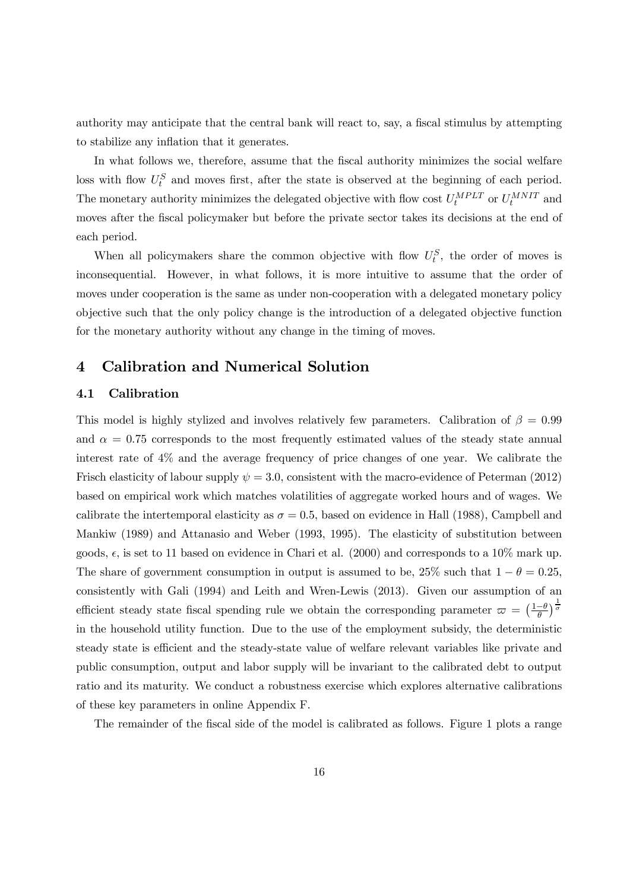authority may anticipate that the central bank will react to, say, a fiscal stimulus by attempting to stabilize any inflation that it generates.

In what follows we, therefore, assume that the fiscal authority minimizes the social welfare loss with flow  $U_t^S$  and moves first, after the state is observed at the beginning of each period. The monetary authority minimizes the delegated objective with flow cost  $U_t^{MPLT}$  or  $U_t^{MNIT}$  and moves after the fiscal policymaker but before the private sector takes its decisions at the end of each period.

When all policymakers share the common objective with flow  $U_t^S$ , the order of moves is inconsequential. However, in what follows, it is more intuitive to assume that the order of moves under cooperation is the same as under non-cooperation with a delegated monetary policy objective such that the only policy change is the introduction of a delegated objective function for the monetary authority without any change in the timing of moves.

## 4 Calibration and Numerical Solution

### 4.1 Calibration

This model is highly stylized and involves relatively few parameters. Calibration of  $\beta = 0.99$ and  $\alpha = 0.75$  corresponds to the most frequently estimated values of the steady state annual interest rate of 4% and the average frequency of price changes of one year. We calibrate the Frisch elasticity of labour supply  $\psi = 3.0$ , consistent with the macro-evidence of Peterman (2012) based on empirical work which matches volatilities of aggregate worked hours and of wages. We calibrate the intertemporal elasticity as  $\sigma = 0.5$ , based on evidence in Hall (1988), Campbell and Mankiw (1989) and Attanasio and Weber (1993, 1995). The elasticity of substitution between goods,  $\epsilon$ , is set to 11 based on evidence in Chari et al. (2000) and corresponds to a 10% mark up. The share of government consumption in output is assumed to be, 25% such that  $1 - \theta = 0.25$ , consistently with Gali (1994) and Leith and Wren-Lewis (2013). Given our assumption of an efficient steady state fiscal spending rule we obtain the corresponding parameter  $\varpi = \left(\frac{1-\theta}{\theta}\right)$  $\frac{-\theta}{\theta}$ ) $\frac{1}{\sigma}$ in the household utility function. Due to the use of the employment subsidy, the deterministic steady state is efficient and the steady-state value of welfare relevant variables like private and public consumption, output and labor supply will be invariant to the calibrated debt to output ratio and its maturity. We conduct a robustness exercise which explores alternative calibrations of these key parameters in online Appendix F.

The remainder of the fiscal side of the model is calibrated as follows. Figure 1 plots a range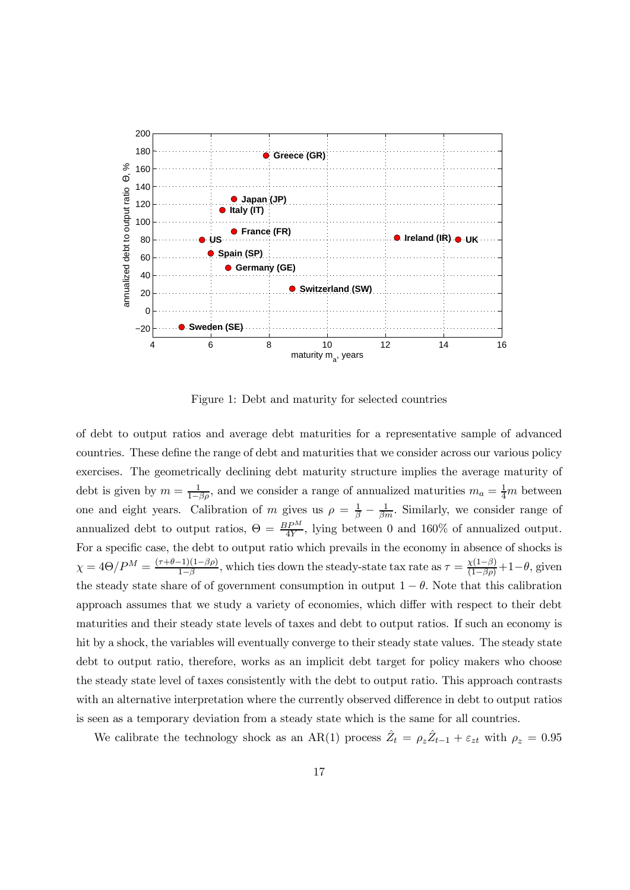

Figure 1: Debt and maturity for selected countries

of debt to output ratios and average debt maturities for a representative sample of advanced countries. These define the range of debt and maturities that we consider across our various policy exercises. The geometrically declining debt maturity structure implies the average maturity of debt is given by  $m = \frac{1}{1-\beta\rho}$ , and we consider a range of annualized maturities  $m_a = \frac{1}{4}m$  between one and eight years. Calibration of m gives us  $\rho = \frac{1}{\beta} - \frac{1}{\beta m}$ . Similarly, we consider range of annualized debt to output ratios,  $\Theta = \frac{BP^M}{4Y}$ , lying between 0 and 160% of annualized output. For a specific case, the debt to output ratio which prevails in the economy in absence of shocks is  $\chi = 4\Theta/P^M = \frac{(\tau+\theta-1)(1-\beta\rho)}{1-\beta}$  $\frac{\chi(1-\beta)}{1-\beta}$ , which ties down the steady-state tax rate as  $\tau = \frac{\chi(1-\beta)}{(1-\beta\rho)} + 1 - \theta$ , given the steady state share of of government consumption in output  $1 - \theta$ . Note that this calibration approach assumes that we study a variety of economies, which differ with respect to their debt maturities and their steady state levels of taxes and debt to output ratios. If such an economy is hit by a shock, the variables will eventually converge to their steady state values. The steady state debt to output ratio, therefore, works as an implicit debt target for policy makers who choose the steady state level of taxes consistently with the debt to output ratio. This approach contrasts with an alternative interpretation where the currently observed difference in debt to output ratios is seen as a temporary deviation from a steady state which is the same for all countries.

We calibrate the technology shock as an AR(1) process  $\hat{Z}_t = \rho_z \hat{Z}_{t-1} + \varepsilon_{zt}$  with  $\rho_z = 0.95$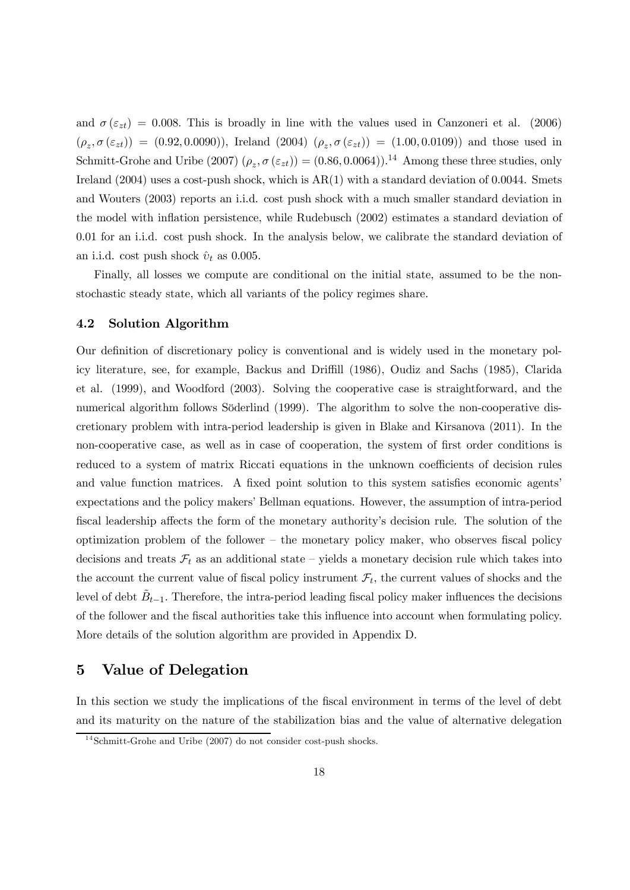and  $\sigma(\varepsilon_{zt}) = 0.008$ . This is broadly in line with the values used in Canzoneri et al. (2006)  $(\rho_z, \sigma(\varepsilon_{zt})) = (0.92, 0.0090)$ , Ireland  $(2004)$   $(\rho_z, \sigma(\varepsilon_{zt})) = (1.00, 0.0109)$  and those used in Schmitt-Grohe and Uribe (2007)  $(\rho_z, \sigma(\varepsilon_{zt})) = (0.86, 0.0064)$ .<sup>14</sup> Among these three studies, only Ireland (2004) uses a cost-push shock, which is AR(1) with a standard deviation of 0.0044. Smets and Wouters (2003) reports an i.i.d. cost push shock with a much smaller standard deviation in the model with inflation persistence, while Rudebusch (2002) estimates a standard deviation of 0.01 for an i.i.d. cost push shock. In the analysis below, we calibrate the standard deviation of an i.i.d. cost push shock  $\hat{v}_t$  as 0.005.

Finally, all losses we compute are conditional on the initial state, assumed to be the nonstochastic steady state, which all variants of the policy regimes share.

#### 4.2 Solution Algorithm

Our definition of discretionary policy is conventional and is widely used in the monetary policy literature, see, for example, Backus and Driffill (1986), Oudiz and Sachs (1985), Clarida et al. (1999), and Woodford (2003). Solving the cooperative case is straightforward, and the numerical algorithm follows Söderlind (1999). The algorithm to solve the non-cooperative discretionary problem with intra-period leadership is given in Blake and Kirsanova (2011). In the non-cooperative case, as well as in case of cooperation, the system of first order conditions is reduced to a system of matrix Riccati equations in the unknown coefficients of decision rules and value function matrices. A fixed point solution to this system satisfies economic agents' expectations and the policy makers' Bellman equations. However, the assumption of intra-period fiscal leadership affects the form of the monetary authority's decision rule. The solution of the optimization problem of the follower — the monetary policy maker, who observes fiscal policy decisions and treats  $\mathcal{F}_t$  as an additional state – yields a monetary decision rule which takes into the account the current value of fiscal policy instrument  $\mathcal{F}_t$ , the current values of shocks and the level of debt  $\tilde{B}_{t-1}$ . Therefore, the intra-period leading fiscal policy maker influences the decisions of the follower and the fiscal authorities take this influence into account when formulating policy. More details of the solution algorithm are provided in Appendix D.

## 5 Value of Delegation

In this section we study the implications of the fiscal environment in terms of the level of debt and its maturity on the nature of the stabilization bias and the value of alternative delegation

 $14$ Schmitt-Grohe and Uribe (2007) do not consider cost-push shocks.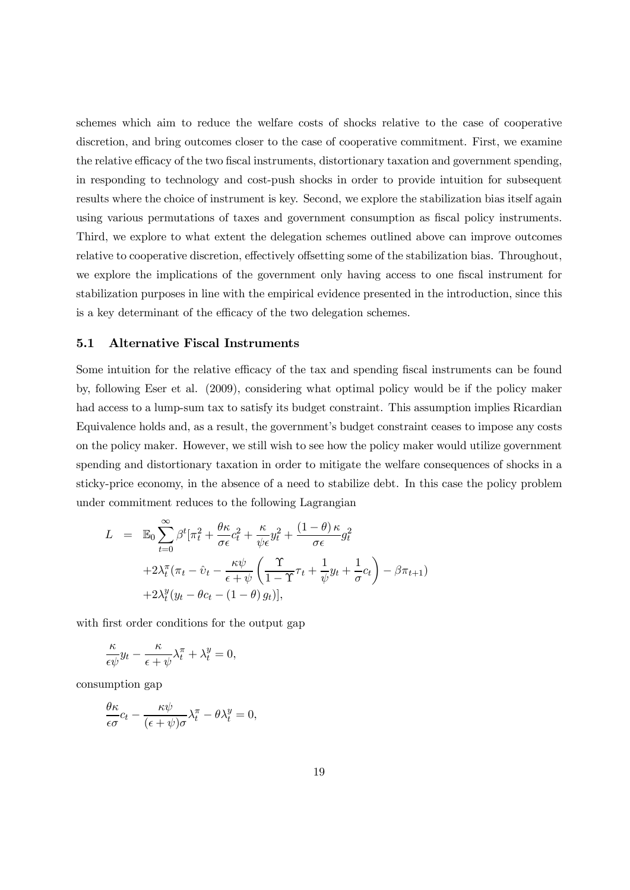schemes which aim to reduce the welfare costs of shocks relative to the case of cooperative discretion, and bring outcomes closer to the case of cooperative commitment. First, we examine the relative efficacy of the two fiscal instruments, distortionary taxation and government spending, in responding to technology and cost-push shocks in order to provide intuition for subsequent results where the choice of instrument is key. Second, we explore the stabilization bias itself again using various permutations of taxes and government consumption as fiscal policy instruments. Third, we explore to what extent the delegation schemes outlined above can improve outcomes relative to cooperative discretion, effectively offsetting some of the stabilization bias. Throughout, we explore the implications of the government only having access to one fiscal instrument for stabilization purposes in line with the empirical evidence presented in the introduction, since this is a key determinant of the efficacy of the two delegation schemes.

### 5.1 Alternative Fiscal Instruments

Some intuition for the relative efficacy of the tax and spending fiscal instruments can be found by, following Eser et al. (2009), considering what optimal policy would be if the policy maker had access to a lump-sum tax to satisfy its budget constraint. This assumption implies Ricardian Equivalence holds and, as a result, the government's budget constraint ceases to impose any costs on the policy maker. However, we still wish to see how the policy maker would utilize government spending and distortionary taxation in order to mitigate the welfare consequences of shocks in a sticky-price economy, in the absence of a need to stabilize debt. In this case the policy problem under commitment reduces to the following Lagrangian

$$
L = \mathbb{E}_0 \sum_{t=0}^{\infty} \beta^t [\pi_t^2 + \frac{\theta \kappa}{\sigma \epsilon} c_t^2 + \frac{\kappa}{\psi \epsilon} y_t^2 + \frac{(1-\theta)\kappa}{\sigma \epsilon} g_t^2 + 2\lambda_t^{\pi} (\pi_t - \hat{v}_t - \frac{\kappa \psi}{\epsilon + \psi} \left( \frac{\Upsilon}{1-\Upsilon} \tau_t + \frac{1}{\psi} y_t + \frac{1}{\sigma} c_t \right) - \beta \pi_{t+1}) + 2\lambda_t^y (y_t - \theta c_t - (1-\theta) g_t)],
$$

with first order conditions for the output gap

$$
\frac{\kappa}{\epsilon \psi} y_t - \frac{\kappa}{\epsilon + \psi} \lambda_t^{\pi} + \lambda_t^y = 0,
$$

consumption gap

$$
\frac{\theta \kappa}{\epsilon \sigma} c_t - \frac{\kappa \psi}{(\epsilon + \psi)\sigma} \lambda_t^{\pi} - \theta \lambda_t^y = 0,
$$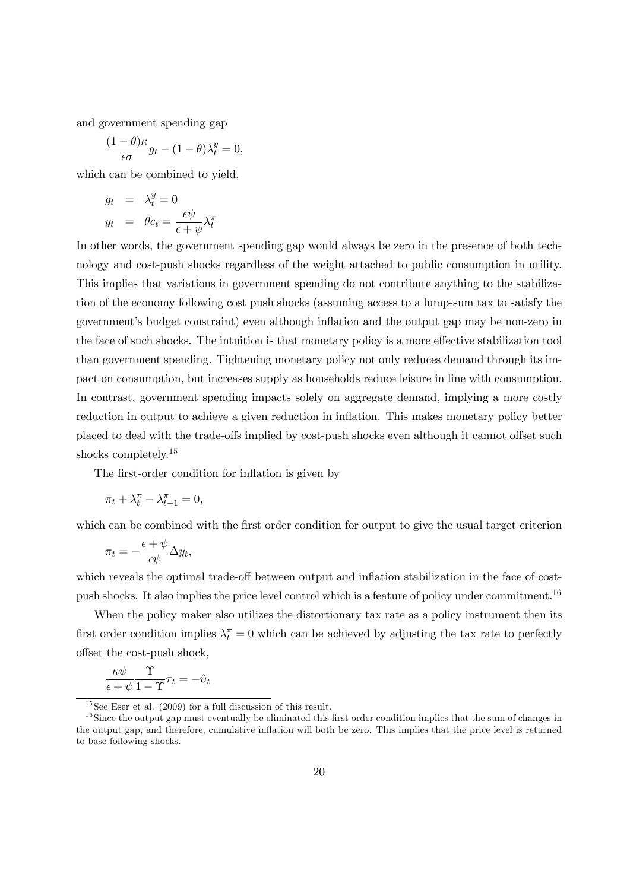and government spending gap

$$
\frac{(1-\theta)\kappa}{\epsilon\sigma}g_t - (1-\theta)\lambda_t^y = 0,
$$

which can be combined to yield,

$$
g_t = \lambda_t^y = 0
$$
  

$$
y_t = \theta c_t = \frac{\epsilon \psi}{\epsilon + \psi} \lambda_t^{\pi}
$$

In other words, the government spending gap would always be zero in the presence of both technology and cost-push shocks regardless of the weight attached to public consumption in utility. This implies that variations in government spending do not contribute anything to the stabilization of the economy following cost push shocks (assuming access to a lump-sum tax to satisfy the government's budget constraint) even although inflation and the output gap may be non-zero in the face of such shocks. The intuition is that monetary policy is a more effective stabilization tool than government spending. Tightening monetary policy not only reduces demand through its impact on consumption, but increases supply as households reduce leisure in line with consumption. In contrast, government spending impacts solely on aggregate demand, implying a more costly reduction in output to achieve a given reduction in inflation. This makes monetary policy better placed to deal with the trade-offs implied by cost-push shocks even although it cannot offset such shocks completely.<sup>15</sup>

The first-order condition for inflation is given by

$$
\pi_t + \lambda_t^\pi - \lambda_{t-1}^\pi = 0,
$$

which can be combined with the first order condition for output to give the usual target criterion

$$
\pi_t = -\frac{\epsilon + \psi}{\epsilon \psi} \Delta y_t,
$$

which reveals the optimal trade-off between output and inflation stabilization in the face of costpush shocks. It also implies the price level control which is a feature of policy under commitment.<sup>16</sup>

When the policy maker also utilizes the distortionary tax rate as a policy instrument then its first order condition implies  $\lambda_t^{\pi} = 0$  which can be achieved by adjusting the tax rate to perfectly offset the cost-push shock,

$$
\frac{\kappa \psi}{\epsilon + \psi} \frac{\Upsilon}{1 - \Upsilon} \tau_t = -\hat{v}_t
$$

 $\frac{15}{15}$ See Eser et al. (2009) for a full discussion of this result.

 $16$ Since the output gap must eventually be eliminated this first order condition implies that the sum of changes in the output gap, and therefore, cumulative inflation will both be zero. This implies that the price level is returned to base following shocks.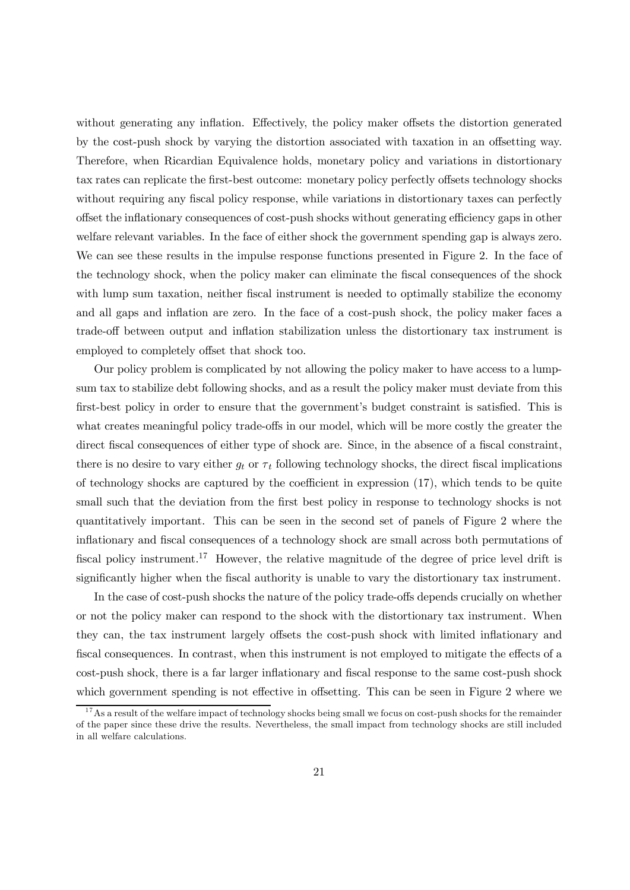without generating any inflation. Effectively, the policy maker offsets the distortion generated by the cost-push shock by varying the distortion associated with taxation in an offsetting way. Therefore, when Ricardian Equivalence holds, monetary policy and variations in distortionary tax rates can replicate the first-best outcome: monetary policy perfectly offsets technology shocks without requiring any fiscal policy response, while variations in distortionary taxes can perfectly offset the inflationary consequences of cost-push shocks without generating efficiency gaps in other welfare relevant variables. In the face of either shock the government spending gap is always zero. We can see these results in the impulse response functions presented in Figure 2. In the face of the technology shock, when the policy maker can eliminate the fiscal consequences of the shock with lump sum taxation, neither fiscal instrument is needed to optimally stabilize the economy and all gaps and inflation are zero. In the face of a cost-push shock, the policy maker faces a trade-off between output and inflation stabilization unless the distortionary tax instrument is employed to completely offset that shock too.

Our policy problem is complicated by not allowing the policy maker to have access to a lumpsum tax to stabilize debt following shocks, and as a result the policy maker must deviate from this first-best policy in order to ensure that the government's budget constraint is satisfied. This is what creates meaningful policy trade-offs in our model, which will be more costly the greater the direct fiscal consequences of either type of shock are. Since, in the absence of a fiscal constraint, there is no desire to vary either  $g_t$  or  $\tau_t$  following technology shocks, the direct fiscal implications of technology shocks are captured by the coefficient in expression (17), which tends to be quite small such that the deviation from the first best policy in response to technology shocks is not quantitatively important. This can be seen in the second set of panels of Figure 2 where the inflationary and fiscal consequences of a technology shock are small across both permutations of fiscal policy instrument.<sup>17</sup> However, the relative magnitude of the degree of price level drift is significantly higher when the fiscal authority is unable to vary the distortionary tax instrument.

In the case of cost-push shocks the nature of the policy trade-offs depends crucially on whether or not the policy maker can respond to the shock with the distortionary tax instrument. When they can, the tax instrument largely offsets the cost-push shock with limited inflationary and fiscal consequences. In contrast, when this instrument is not employed to mitigate the effects of a cost-push shock, there is a far larger inflationary and fiscal response to the same cost-push shock which government spending is not effective in offsetting. This can be seen in Figure 2 where we

 $17$ As a result of the welfare impact of technology shocks being small we focus on cost-push shocks for the remainder of the paper since these drive the results. Nevertheless, the small impact from technology shocks are still included in all welfare calculations.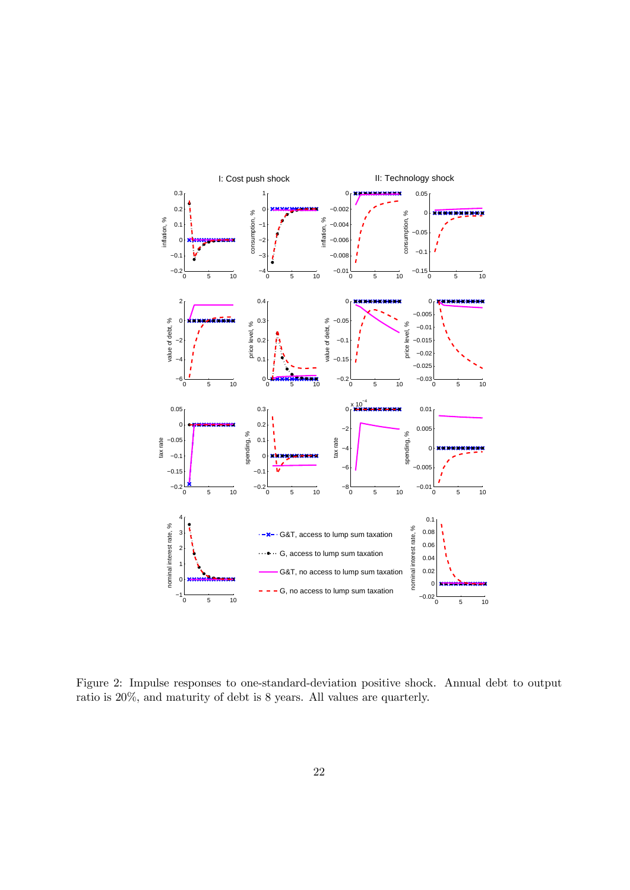

Figure 2: Impulse responses to one-standard-deviation positive shock. Annual debt to output ratio is 20%, and maturity of debt is 8 years. All values are quarterly.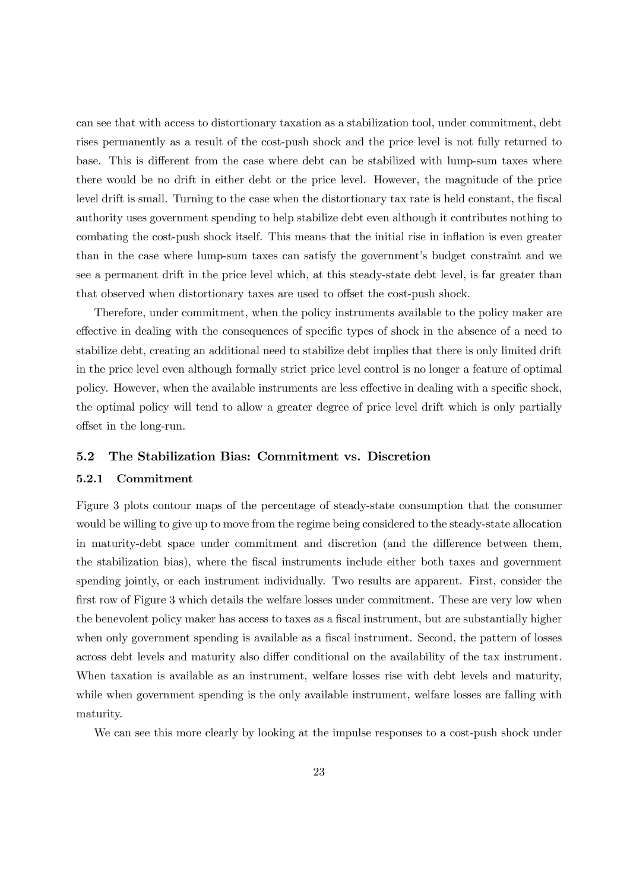can see that with access to distortionary taxation as a stabilization tool, under commitment, debt rises permanently as a result of the cost-push shock and the price level is not fully returned to base. This is different from the case where debt can be stabilized with lump-sum taxes where there would be no drift in either debt or the price level. However, the magnitude of the price level drift is small. Turning to the case when the distortionary tax rate is held constant, the fiscal authority uses government spending to help stabilize debt even although it contributes nothing to combating the cost-push shock itself. This means that the initial rise in inflation is even greater than in the case where lump-sum taxes can satisfy the government's budget constraint and we see a permanent drift in the price level which, at this steady-state debt level, is far greater than that observed when distortionary taxes are used to offset the cost-push shock.

Therefore, under commitment, when the policy instruments available to the policy maker are effective in dealing with the consequences of specific types of shock in the absence of a need to stabilize debt, creating an additional need to stabilize debt implies that there is only limited drift in the price level even although formally strict price level control is no longer a feature of optimal policy. However, when the available instruments are less effective in dealing with a specific shock, the optimal policy will tend to allow a greater degree of price level drift which is only partially offset in the long-run.

### 5.2 The Stabilization Bias: Commitment vs. Discretion

### 5.2.1 Commitment

Figure 3 plots contour maps of the percentage of steady-state consumption that the consumer would be willing to give up to move from the regime being considered to the steady-state allocation in maturity-debt space under commitment and discretion (and the difference between them, the stabilization bias), where the fiscal instruments include either both taxes and government spending jointly, or each instrument individually. Two results are apparent. First, consider the first row of Figure 3 which details the welfare losses under commitment. These are very low when the benevolent policy maker has access to taxes as a fiscal instrument, but are substantially higher when only government spending is available as a fiscal instrument. Second, the pattern of losses across debt levels and maturity also differ conditional on the availability of the tax instrument. When taxation is available as an instrument, welfare losses rise with debt levels and maturity, while when government spending is the only available instrument, welfare losses are falling with maturity.

We can see this more clearly by looking at the impulse responses to a cost-push shock under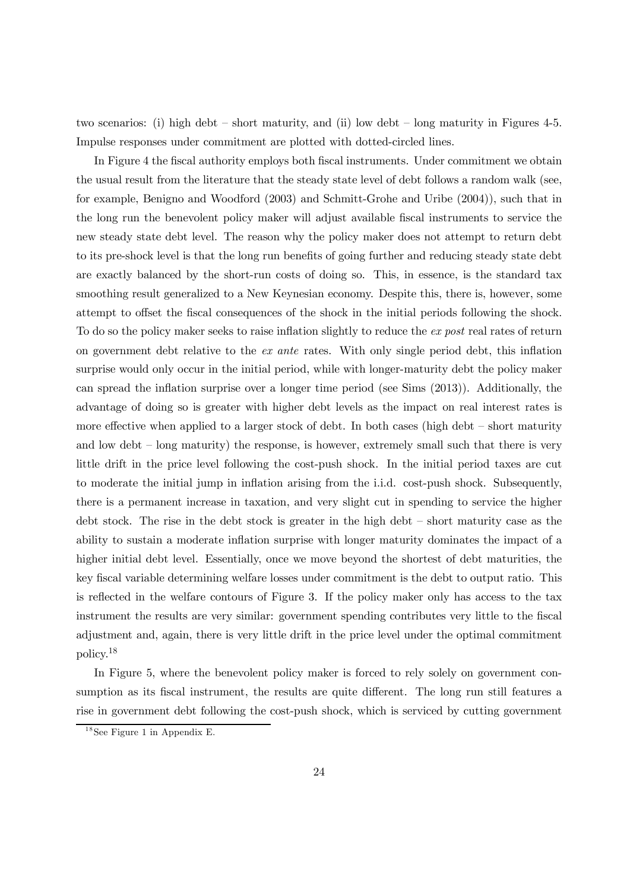two scenarios: (i) high debt — short maturity, and (ii) low debt — long maturity in Figures 4-5. Impulse responses under commitment are plotted with dotted-circled lines.

In Figure 4 the fiscal authority employs both fiscal instruments. Under commitment we obtain the usual result from the literature that the steady state level of debt follows a random walk (see, for example, Benigno and Woodford (2003) and Schmitt-Grohe and Uribe (2004)), such that in the long run the benevolent policy maker will adjust available fiscal instruments to service the new steady state debt level. The reason why the policy maker does not attempt to return debt to its pre-shock level is that the long run benefits of going further and reducing steady state debt are exactly balanced by the short-run costs of doing so. This, in essence, is the standard tax smoothing result generalized to a New Keynesian economy. Despite this, there is, however, some attempt to offset the fiscal consequences of the shock in the initial periods following the shock. To do so the policy maker seeks to raise inflation slightly to reduce the *ex post* real rates of return on government debt relative to the *ex ante* rates. With only single period debt, this inflation surprise would only occur in the initial period, while with longer-maturity debt the policy maker can spread the inflation surprise over a longer time period (see Sims (2013)). Additionally, the advantage of doing so is greater with higher debt levels as the impact on real interest rates is more effective when applied to a larger stock of debt. In both cases (high debt — short maturity and low debt — long maturity) the response, is however, extremely small such that there is very little drift in the price level following the cost-push shock. In the initial period taxes are cut to moderate the initial jump in inflation arising from the i.i.d. cost-push shock. Subsequently, there is a permanent increase in taxation, and very slight cut in spending to service the higher debt stock. The rise in the debt stock is greater in the high debt — short maturity case as the ability to sustain a moderate inflation surprise with longer maturity dominates the impact of a higher initial debt level. Essentially, once we move beyond the shortest of debt maturities, the key fiscal variable determining welfare losses under commitment is the debt to output ratio. This is reflected in the welfare contours of Figure 3. If the policy maker only has access to the tax instrument the results are very similar: government spending contributes very little to the fiscal adjustment and, again, there is very little drift in the price level under the optimal commitment policy.<sup>18</sup>

In Figure 5, where the benevolent policy maker is forced to rely solely on government consumption as its fiscal instrument, the results are quite different. The long run still features a rise in government debt following the cost-push shock, which is serviced by cutting government

 $18$ See Figure 1 in Appendix E.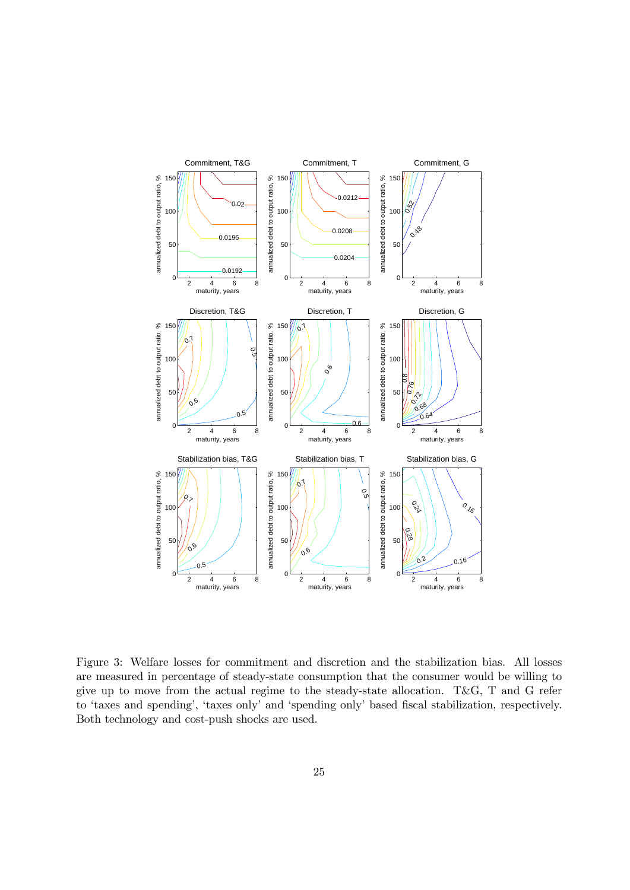

Figure 3: Welfare losses for commitment and discretion and the stabilization bias. All losses are measured in percentage of steady-state consumption that the consumer would be willing to give up to move from the actual regime to the steady-state allocation. T&G, T and G refer to 'taxes and spending', 'taxes only' and 'spending only' based fiscal stabilization, respectively. Both technology and cost-push shocks are used.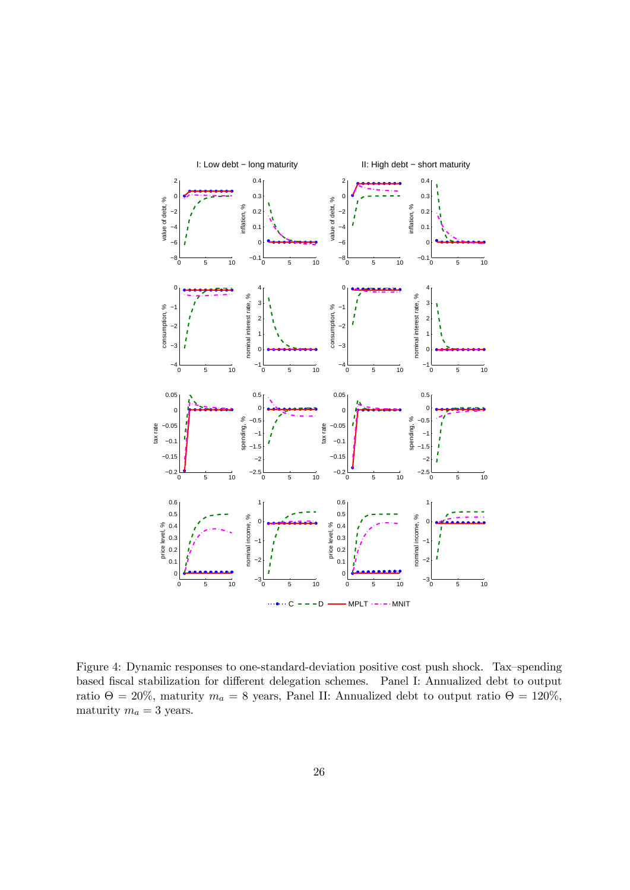

Figure 4: Dynamic responses to one-standard-deviation positive cost push shock. Tax—spending based fiscal stabilization for different delegation schemes. Panel I: Annualized debt to output ratio Θ = 20%, maturity  $m_a = 8$  years, Panel II: Annualized debt to output ratio Θ = 120%, maturity  $m_a = 3$  years.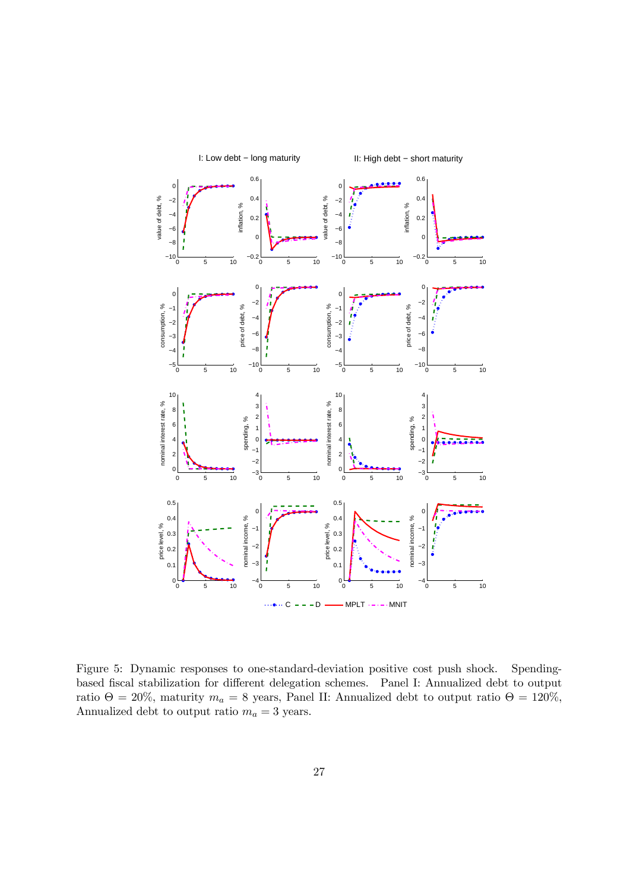

Figure 5: Dynamic responses to one-standard-deviation positive cost push shock. Spendingbased fiscal stabilization for different delegation schemes. Panel I: Annualized debt to output ratio Θ = 20%, maturity  $m_a = 8$  years, Panel II: Annualized debt to output ratio Θ = 120%, Annualized debt to output ratio  $m_a=3$  years.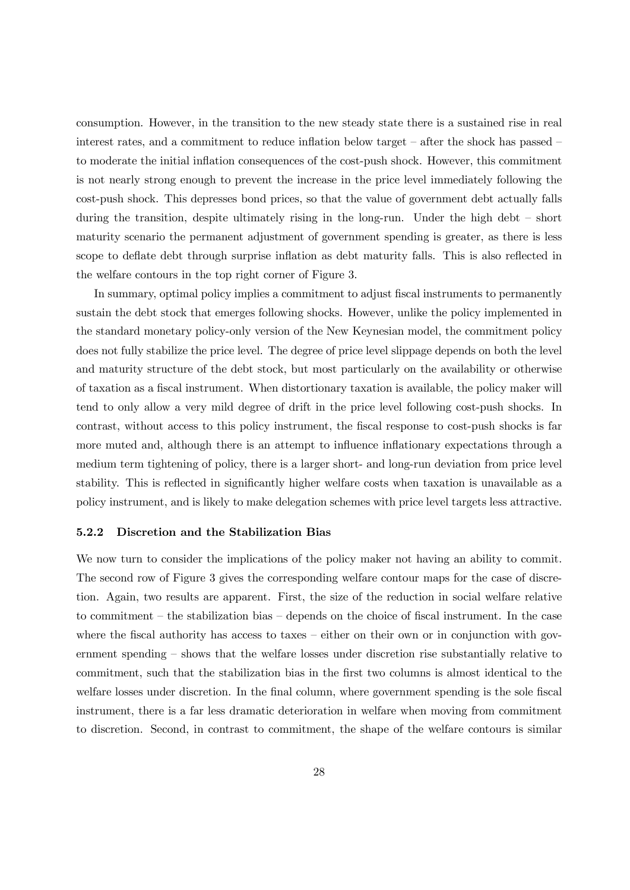consumption. However, in the transition to the new steady state there is a sustained rise in real interest rates, and a commitment to reduce inflation below target — after the shock has passed to moderate the initial inflation consequences of the cost-push shock. However, this commitment is not nearly strong enough to prevent the increase in the price level immediately following the cost-push shock. This depresses bond prices, so that the value of government debt actually falls during the transition, despite ultimately rising in the long-run. Under the high debt – short maturity scenario the permanent adjustment of government spending is greater, as there is less scope to deflate debt through surprise inflation as debt maturity falls. This is also reflected in the welfare contours in the top right corner of Figure 3.

In summary, optimal policy implies a commitment to adjust fiscal instruments to permanently sustain the debt stock that emerges following shocks. However, unlike the policy implemented in the standard monetary policy-only version of the New Keynesian model, the commitment policy does not fully stabilize the price level. The degree of price level slippage depends on both the level and maturity structure of the debt stock, but most particularly on the availability or otherwise of taxation as a fiscal instrument. When distortionary taxation is available, the policy maker will tend to only allow a very mild degree of drift in the price level following cost-push shocks. In contrast, without access to this policy instrument, the fiscal response to cost-push shocks is far more muted and, although there is an attempt to influence inflationary expectations through a medium term tightening of policy, there is a larger short- and long-run deviation from price level stability. This is reflected in significantly higher welfare costs when taxation is unavailable as a policy instrument, and is likely to make delegation schemes with price level targets less attractive.

#### 5.2.2 Discretion and the Stabilization Bias

We now turn to consider the implications of the policy maker not having an ability to commit. The second row of Figure 3 gives the corresponding welfare contour maps for the case of discretion. Again, two results are apparent. First, the size of the reduction in social welfare relative to commitment — the stabilization bias — depends on the choice of fiscal instrument. In the case where the fiscal authority has access to taxes – either on their own or in conjunction with government spending — shows that the welfare losses under discretion rise substantially relative to commitment, such that the stabilization bias in the first two columns is almost identical to the welfare losses under discretion. In the final column, where government spending is the sole fiscal instrument, there is a far less dramatic deterioration in welfare when moving from commitment to discretion. Second, in contrast to commitment, the shape of the welfare contours is similar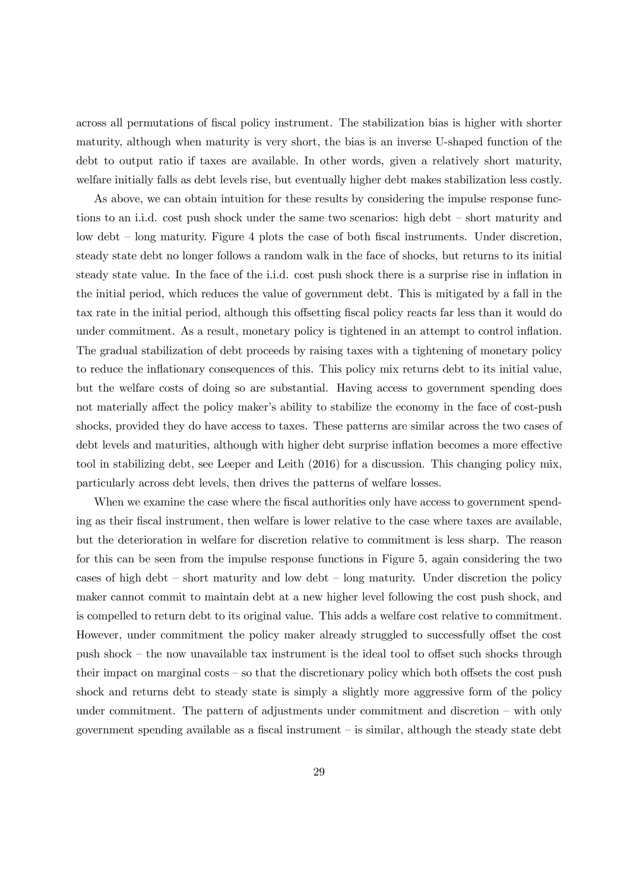across all permutations of fiscal policy instrument. The stabilization bias is higher with shorter maturity, although when maturity is very short, the bias is an inverse U-shaped function of the debt to output ratio if taxes are available. In other words, given a relatively short maturity, welfare initially falls as debt levels rise, but eventually higher debt makes stabilization less costly.

As above, we can obtain intuition for these results by considering the impulse response functions to an i.i.d. cost push shock under the same two scenarios: high debt — short maturity and low debt — long maturity. Figure 4 plots the case of both fiscal instruments. Under discretion, steady state debt no longer follows a random walk in the face of shocks, but returns to its initial steady state value. In the face of the i.i.d. cost push shock there is a surprise rise in inflation in the initial period, which reduces the value of government debt. This is mitigated by a fall in the tax rate in the initial period, although this offsetting fiscal policy reacts far less than it would do under commitment. As a result, monetary policy is tightened in an attempt to control inflation. The gradual stabilization of debt proceeds by raising taxes with a tightening of monetary policy to reduce the inflationary consequences of this. This policy mix returns debt to its initial value, but the welfare costs of doing so are substantial. Having access to government spending does not materially affect the policy maker's ability to stabilize the economy in the face of cost-push shocks, provided they do have access to taxes. These patterns are similar across the two cases of debt levels and maturities, although with higher debt surprise inflation becomes a more effective tool in stabilizing debt, see Leeper and Leith (2016) for a discussion. This changing policy mix, particularly across debt levels, then drives the patterns of welfare losses.

When we examine the case where the fiscal authorities only have access to government spending as their fiscal instrument, then welfare is lower relative to the case where taxes are available, but the deterioration in welfare for discretion relative to commitment is less sharp. The reason for this can be seen from the impulse response functions in Figure 5, again considering the two cases of high debt — short maturity and low debt — long maturity. Under discretion the policy maker cannot commit to maintain debt at a new higher level following the cost push shock, and is compelled to return debt to its original value. This adds a welfare cost relative to commitment. However, under commitment the policy maker already struggled to successfully offset the cost push shock — the now unavailable tax instrument is the ideal tool to offset such shocks through their impact on marginal costs — so that the discretionary policy which both offsets the cost push shock and returns debt to steady state is simply a slightly more aggressive form of the policy under commitment. The pattern of adjustments under commitment and discretion — with only government spending available as a fiscal instrument — is similar, although the steady state debt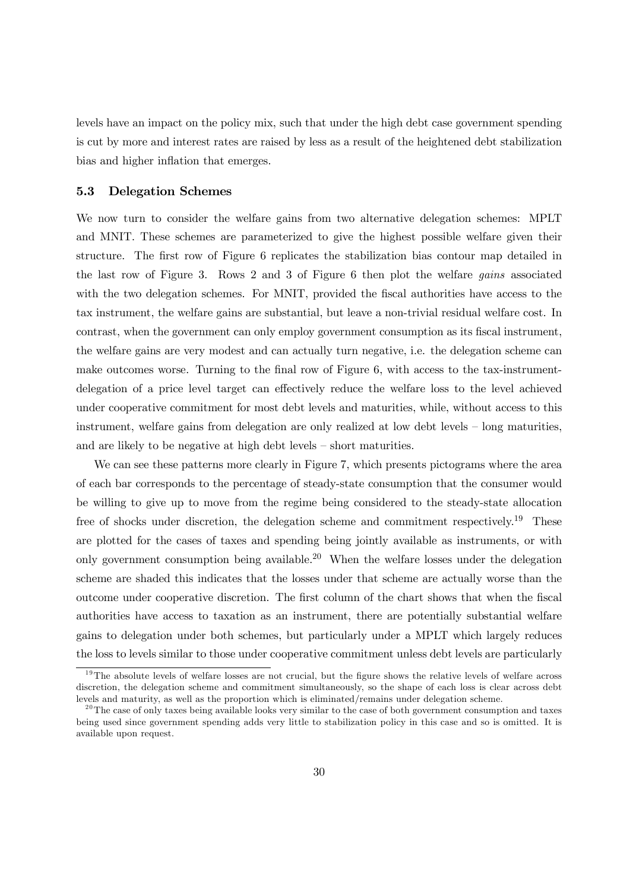levels have an impact on the policy mix, such that under the high debt case government spending is cut by more and interest rates are raised by less as a result of the heightened debt stabilization bias and higher inflation that emerges.

#### 5.3 Delegation Schemes

We now turn to consider the welfare gains from two alternative delegation schemes: MPLT and MNIT. These schemes are parameterized to give the highest possible welfare given their structure. The first row of Figure 6 replicates the stabilization bias contour map detailed in the last row of Figure 3. Rows 2 and 3 of Figure 6 then plot the welfare *gains* associated with the two delegation schemes. For MNIT, provided the fiscal authorities have access to the tax instrument, the welfare gains are substantial, but leave a non-trivial residual welfare cost. In contrast, when the government can only employ government consumption as its fiscal instrument, the welfare gains are very modest and can actually turn negative, i.e. the delegation scheme can make outcomes worse. Turning to the final row of Figure 6, with access to the tax-instrumentdelegation of a price level target can effectively reduce the welfare loss to the level achieved under cooperative commitment for most debt levels and maturities, while, without access to this instrument, welfare gains from delegation are only realized at low debt levels — long maturities, and are likely to be negative at high debt levels — short maturities.

We can see these patterns more clearly in Figure 7, which presents pictograms where the area of each bar corresponds to the percentage of steady-state consumption that the consumer would be willing to give up to move from the regime being considered to the steady-state allocation free of shocks under discretion, the delegation scheme and commitment respectively.<sup>19</sup> These are plotted for the cases of taxes and spending being jointly available as instruments, or with only government consumption being available.<sup>20</sup> When the welfare losses under the delegation scheme are shaded this indicates that the losses under that scheme are actually worse than the outcome under cooperative discretion. The first column of the chart shows that when the fiscal authorities have access to taxation as an instrument, there are potentially substantial welfare gains to delegation under both schemes, but particularly under a MPLT which largely reduces the loss to levels similar to those under cooperative commitment unless debt levels are particularly

 $19$ The absolute levels of welfare losses are not crucial, but the figure shows the relative levels of welfare across discretion, the delegation scheme and commitment simultaneously, so the shape of each loss is clear across debt levels and maturity, as well as the proportion which is eliminated/remains under delegation scheme.

 $^{20}$ The case of only taxes being available looks very similar to the case of both government consumption and taxes being used since government spending adds very little to stabilization policy in this case and so is omitted. It is available upon request.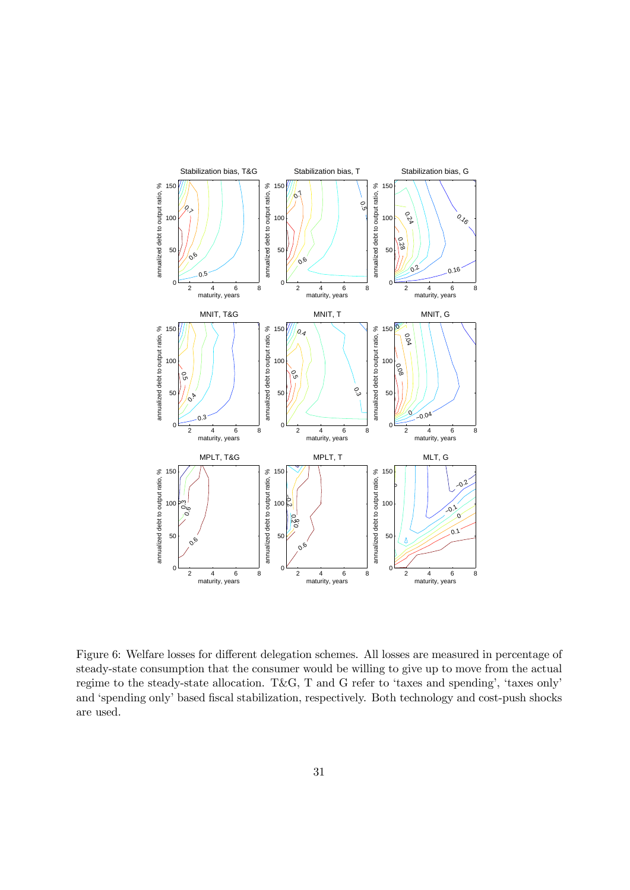

Figure 6: Welfare losses for different delegation schemes. All losses are measured in percentage of steady-state consumption that the consumer would be willing to give up to move from the actual regime to the steady-state allocation. T&G, T and G refer to 'taxes and spending', 'taxes only' and 'spending only' based fiscal stabilization, respectively. Both technology and cost-push shocks are used.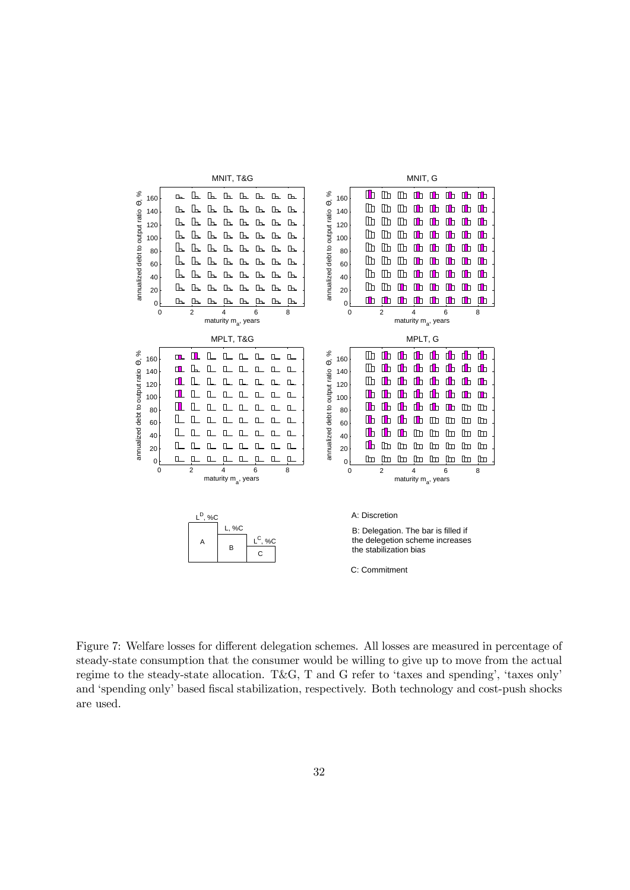

Figure 7: Welfare losses for different delegation schemes. All losses are measured in percentage of steady-state consumption that the consumer would be willing to give up to move from the actual regime to the steady-state allocation. T&G, T and G refer to 'taxes and spending', 'taxes only' and 'spending only' based fiscal stabilization, respectively. Both technology and cost-push shocks are used.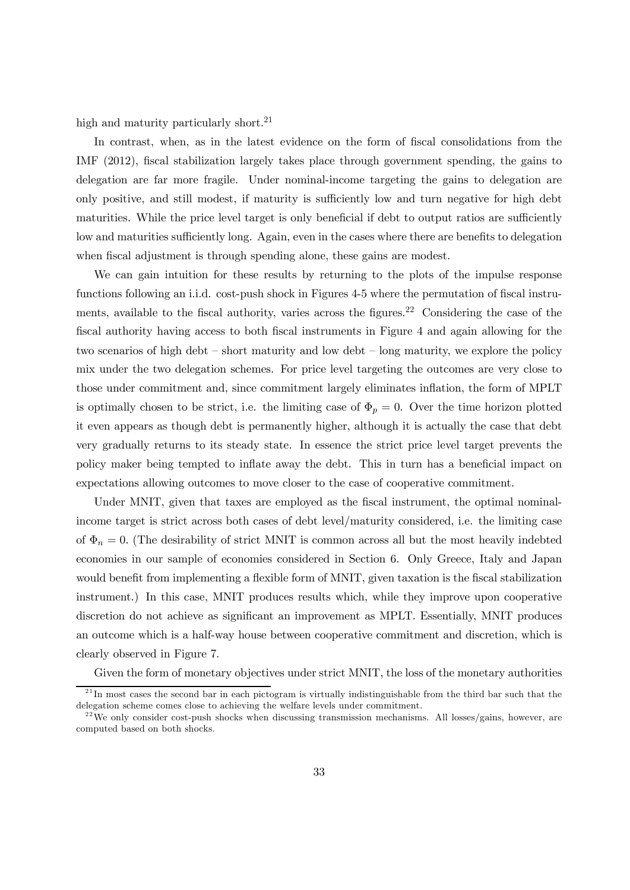high and maturity particularly short.<sup>21</sup>

In contrast, when, as in the latest evidence on the form of fiscal consolidations from the IMF (2012), fiscal stabilization largely takes place through government spending, the gains to delegation are far more fragile. Under nominal-income targeting the gains to delegation are only positive, and still modest, if maturity is sufficiently low and turn negative for high debt maturities. While the price level target is only beneficial if debt to output ratios are sufficiently low and maturities sufficiently long. Again, even in the cases where there are benefits to delegation when fiscal adjustment is through spending alone, these gains are modest.

We can gain intuition for these results by returning to the plots of the impulse response functions following an i.i.d. cost-push shock in Figures 4-5 where the permutation of fiscal instruments, available to the fiscal authority, varies across the figures.<sup>22</sup> Considering the case of the fiscal authority having access to both fiscal instruments in Figure 4 and again allowing for the two scenarios of high debt — short maturity and low debt — long maturity, we explore the policy mix under the two delegation schemes. For price level targeting the outcomes are very close to those under commitment and, since commitment largely eliminates inflation, the form of MPLT is optimally chosen to be strict, i.e. the limiting case of  $\Phi_p = 0$ . Over the time horizon plotted it even appears as though debt is permanently higher, although it is actually the case that debt very gradually returns to its steady state. In essence the strict price level target prevents the policy maker being tempted to inflate away the debt. This in turn has a beneficial impact on expectations allowing outcomes to move closer to the case of cooperative commitment.

Under MNIT, given that taxes are employed as the fiscal instrument, the optimal nominalincome target is strict across both cases of debt level/maturity considered, i.e. the limiting case of  $\Phi_n = 0$ . (The desirability of strict MNIT is common across all but the most heavily indebted economies in our sample of economies considered in Section 6. Only Greece, Italy and Japan would benefit from implementing a flexible form of MNIT, given taxation is the fiscal stabilization instrument.) In this case, MNIT produces results which, while they improve upon cooperative discretion do not achieve as significant an improvement as MPLT. Essentially, MNIT produces an outcome which is a half-way house between cooperative commitment and discretion, which is clearly observed in Figure 7.

Given the form of monetary objectives under strict MNIT, the loss of the monetary authorities

 $^{21}$ In most cases the second bar in each pictogram is virtually indistinguishable from the third bar such that the delegation scheme comes close to achieving the welfare levels under commitment.

 $^{22}$ We only consider cost-push shocks when discussing transmission mechanisms. All losses/gains, however, are computed based on both shocks.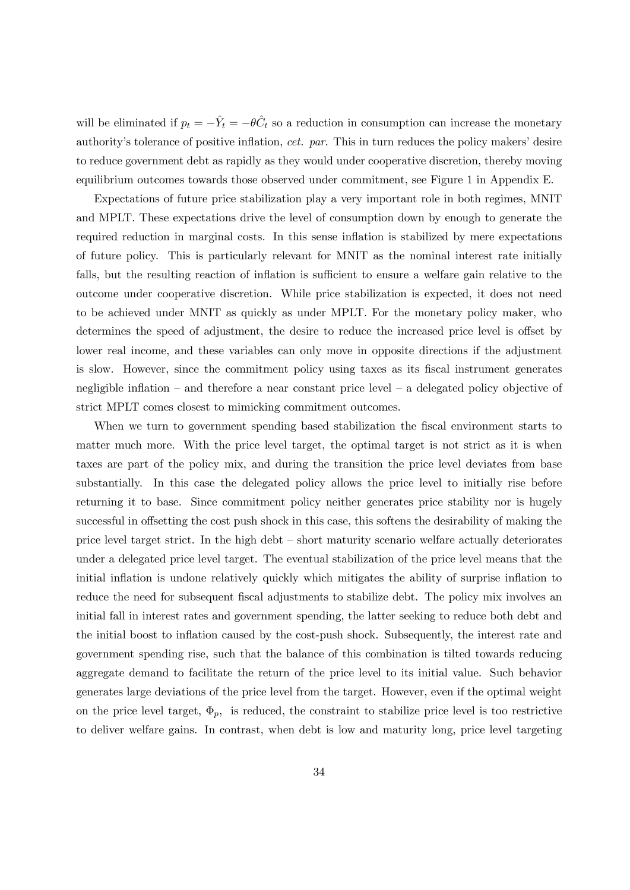will be eliminated if  $p_t = -\hat{Y}_t = -\theta \hat{C}_t$  so a reduction in consumption can increase the monetary authority's tolerance of positive inflation, *cet. par*. This in turn reduces the policy makers' desire to reduce government debt as rapidly as they would under cooperative discretion, thereby moving equilibrium outcomes towards those observed under commitment, see Figure 1 in Appendix E.

Expectations of future price stabilization play a very important role in both regimes, MNIT and MPLT. These expectations drive the level of consumption down by enough to generate the required reduction in marginal costs. In this sense inflation is stabilized by mere expectations of future policy. This is particularly relevant for MNIT as the nominal interest rate initially falls, but the resulting reaction of inflation is sufficient to ensure a welfare gain relative to the outcome under cooperative discretion. While price stabilization is expected, it does not need to be achieved under MNIT as quickly as under MPLT. For the monetary policy maker, who determines the speed of adjustment, the desire to reduce the increased price level is offset by lower real income, and these variables can only move in opposite directions if the adjustment is slow. However, since the commitment policy using taxes as its fiscal instrument generates negligible inflation – and therefore a near constant price level – a delegated policy objective of strict MPLT comes closest to mimicking commitment outcomes.

When we turn to government spending based stabilization the fiscal environment starts to matter much more. With the price level target, the optimal target is not strict as it is when taxes are part of the policy mix, and during the transition the price level deviates from base substantially. In this case the delegated policy allows the price level to initially rise before returning it to base. Since commitment policy neither generates price stability nor is hugely successful in offsetting the cost push shock in this case, this softens the desirability of making the price level target strict. In the high debt — short maturity scenario welfare actually deteriorates under a delegated price level target. The eventual stabilization of the price level means that the initial inflation is undone relatively quickly which mitigates the ability of surprise inflation to reduce the need for subsequent fiscal adjustments to stabilize debt. The policy mix involves an initial fall in interest rates and government spending, the latter seeking to reduce both debt and the initial boost to inflation caused by the cost-push shock. Subsequently, the interest rate and government spending rise, such that the balance of this combination is tilted towards reducing aggregate demand to facilitate the return of the price level to its initial value. Such behavior generates large deviations of the price level from the target. However, even if the optimal weight on the price level target,  $\Phi_p$ , is reduced, the constraint to stabilize price level is too restrictive to deliver welfare gains. In contrast, when debt is low and maturity long, price level targeting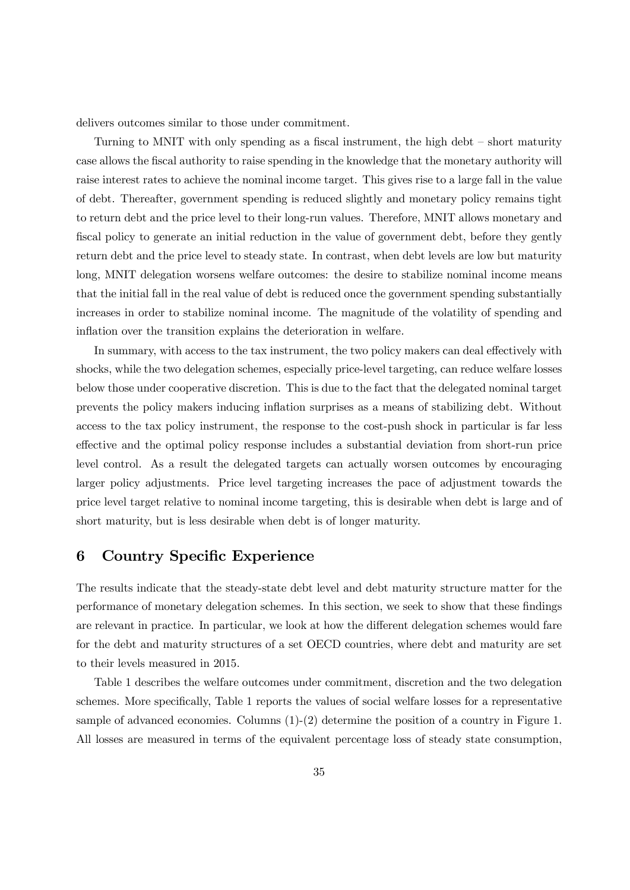delivers outcomes similar to those under commitment.

Turning to MNIT with only spending as a fiscal instrument, the high debt — short maturity case allows the fiscal authority to raise spending in the knowledge that the monetary authority will raise interest rates to achieve the nominal income target. This gives rise to a large fall in the value of debt. Thereafter, government spending is reduced slightly and monetary policy remains tight to return debt and the price level to their long-run values. Therefore, MNIT allows monetary and fiscal policy to generate an initial reduction in the value of government debt, before they gently return debt and the price level to steady state. In contrast, when debt levels are low but maturity long, MNIT delegation worsens welfare outcomes: the desire to stabilize nominal income means that the initial fall in the real value of debt is reduced once the government spending substantially increases in order to stabilize nominal income. The magnitude of the volatility of spending and inflation over the transition explains the deterioration in welfare*.*

In summary, with access to the tax instrument, the two policy makers can deal effectively with shocks, while the two delegation schemes, especially price-level targeting, can reduce welfare losses below those under cooperative discretion. This is due to the fact that the delegated nominal target prevents the policy makers inducing inflation surprises as a means of stabilizing debt. Without access to the tax policy instrument, the response to the cost-push shock in particular is far less effective and the optimal policy response includes a substantial deviation from short-run price level control. As a result the delegated targets can actually worsen outcomes by encouraging larger policy adjustments. Price level targeting increases the pace of adjustment towards the price level target relative to nominal income targeting, this is desirable when debt is large and of short maturity, but is less desirable when debt is of longer maturity.

## 6 Country Specific Experience

The results indicate that the steady-state debt level and debt maturity structure matter for the performance of monetary delegation schemes. In this section, we seek to show that these findings are relevant in practice. In particular, we look at how the different delegation schemes would fare for the debt and maturity structures of a set OECD countries, where debt and maturity are set to their levels measured in 2015.

Table 1 describes the welfare outcomes under commitment, discretion and the two delegation schemes. More specifically, Table 1 reports the values of social welfare losses for a representative sample of advanced economies. Columns (1)-(2) determine the position of a country in Figure 1. All losses are measured in terms of the equivalent percentage loss of steady state consumption,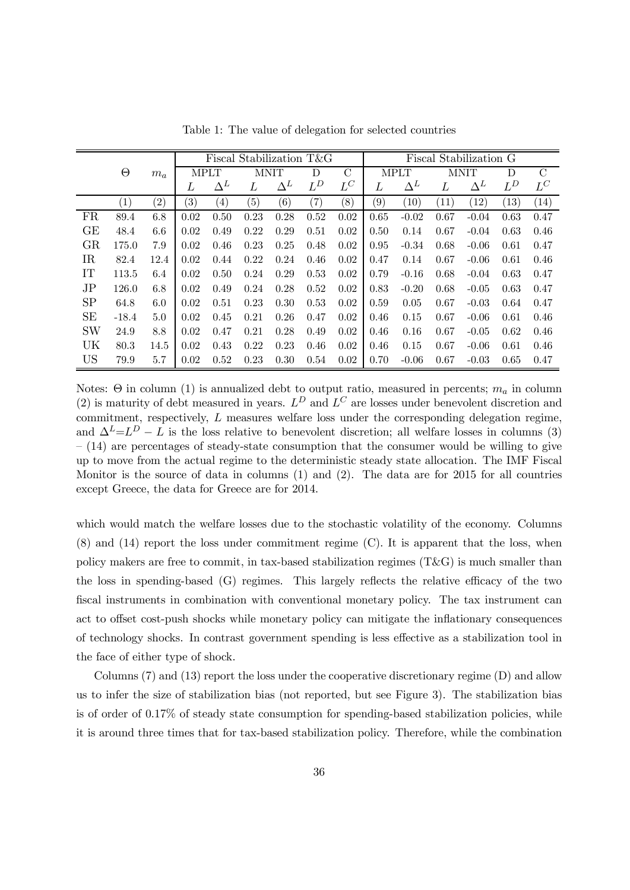|             |                  |       | Fiscal Stabilization T&G |                   |                   |            |                   |               | Fiscal Stabilization G |            |             |            |                   |               |
|-------------|------------------|-------|--------------------------|-------------------|-------------------|------------|-------------------|---------------|------------------------|------------|-------------|------------|-------------------|---------------|
|             | $\Theta$         | $m_a$ | <b>MPLT</b>              |                   | <b>MNIT</b>       |            | D                 | $\mathcal{C}$ | <b>MPLT</b>            |            | <b>MNIT</b> |            | D                 | $\mathcal{C}$ |
|             |                  |       | L                        | $\Delta^L$        | L                 | $\Delta^L$ | $L^D$             | $L^C$         | L                      | $\Delta^L$ | L           | $\Delta^L$ | $L^D$             | $L^C$         |
|             | $\left(1\right)$ | (2)   | $\left( 3\right)$        | $\left( 4\right)$ | $\left( 5\right)$ | (6)        | $\left( 7\right)$ | (8)           | (9)                    | (10)       | (11)        | (12)       | $\left(13\right)$ | (14)          |
| <b>FR</b>   | 89.4             | 6.8   | 0.02                     | 0.50              | 0.23              | 0.28       | 0.52              | 0.02          | 0.65                   | $-0.02$    | 0.67        | $-0.04$    | 0.63              | 0.47          |
| GE          | 48.4             | 6.6   | 0.02                     | 0.49              | 0.22              | 0.29       | 0.51              | 0.02          | 0.50                   | 0.14       | 0.67        | $-0.04$    | 0.63              | 0.46          |
| GR          | 175.0            | 7.9   | 0.02                     | 0.46              | 0.23              | 0.25       | 0.48              | 0.02          | 0.95                   | $-0.34$    | 0.68        | $-0.06$    | 0.61              | 0.47          |
| $_{\rm IR}$ | 82.4             | 12.4  | 0.02                     | 0.44              | 0.22              | 0.24       | 0.46              | 0.02          | 0.47                   | 0.14       | 0.67        | $-0.06$    | 0.61              | 0.46          |
| IT          | 113.5            | 6.4   | 0.02                     | 0.50              | 0.24              | 0.29       | 0.53              | 0.02          | 0.79                   | $-0.16$    | 0.68        | $-0.04$    | 0.63              | 0.47          |
| $_{\rm JP}$ | 126.0            | 6.8   | 0.02                     | 0.49              | 0.24              | 0.28       | 0.52              | 0.02          | 0.83                   | $-0.20$    | 0.68        | $-0.05$    | 0.63              | 0.47          |
| <b>SP</b>   | 64.8             | 6.0   | 0.02                     | 0.51              | 0.23              | 0.30       | 0.53              | 0.02          | 0.59                   | 0.05       | 0.67        | $-0.03$    | 0.64              | 0.47          |
| SE          | $-18.4$          | 5.0   | 0.02                     | 0.45              | 0.21              | 0.26       | 0.47              | 0.02          | 0.46                   | 0.15       | 0.67        | $-0.06$    | 0.61              | 0.46          |
| <b>SW</b>   | 24.9             | 8.8   | 0.02                     | 0.47              | 0.21              | 0.28       | 0.49              | 0.02          | 0.46                   | 0.16       | 0.67        | $-0.05$    | 0.62              | 0.46          |
| UK          | 80.3             | 14.5  | 0.02                     | 0.43              | 0.22              | 0.23       | 0.46              | 0.02          | 0.46                   | 0.15       | 0.67        | $-0.06$    | 0.61              | 0.46          |
| <b>US</b>   | 79.9             | 5.7   | 0.02                     | 0.52              | 0.23              | 0.30       | 0.54              | 0.02          | 0.70                   | $-0.06$    | 0.67        | $-0.03$    | 0.65              | 0.47          |

Table 1: The value of delegation for selected countries

Notes: Θ in column (1) is annualized debt to output ratio, measured in percents;  $m_a$  in column (2) is maturity of debt measured in years.  $L^D$  and  $L^C$  are losses under benevolent discretion and commitment, respectively, L measures welfare loss under the corresponding delegation regime, and  $\Delta^{L}=L^{D}-L$  is the loss relative to benevolent discretion; all welfare losses in columns (3)  $-$  (14) are percentages of steady-state consumption that the consumer would be willing to give up to move from the actual regime to the deterministic steady state allocation. The IMF Fiscal Monitor is the source of data in columns  $(1)$  and  $(2)$ . The data are for 2015 for all countries except Greece, the data for Greece are for 2014.

which would match the welfare losses due to the stochastic volatility of the economy. Columns (8) and (14) report the loss under commitment regime (C). It is apparent that the loss, when policy makers are free to commit, in tax-based stabilization regimes (T&G) is much smaller than the loss in spending-based (G) regimes. This largely reflects the relative efficacy of the two fiscal instruments in combination with conventional monetary policy. The tax instrument can act to offset cost-push shocks while monetary policy can mitigate the inflationary consequences of technology shocks. In contrast government spending is less effective as a stabilization tool in the face of either type of shock.

Columns (7) and (13) report the loss under the cooperative discretionary regime (D) and allow us to infer the size of stabilization bias (not reported, but see Figure 3). The stabilization bias is of order of 0.17% of steady state consumption for spending-based stabilization policies, while it is around three times that for tax-based stabilization policy. Therefore, while the combination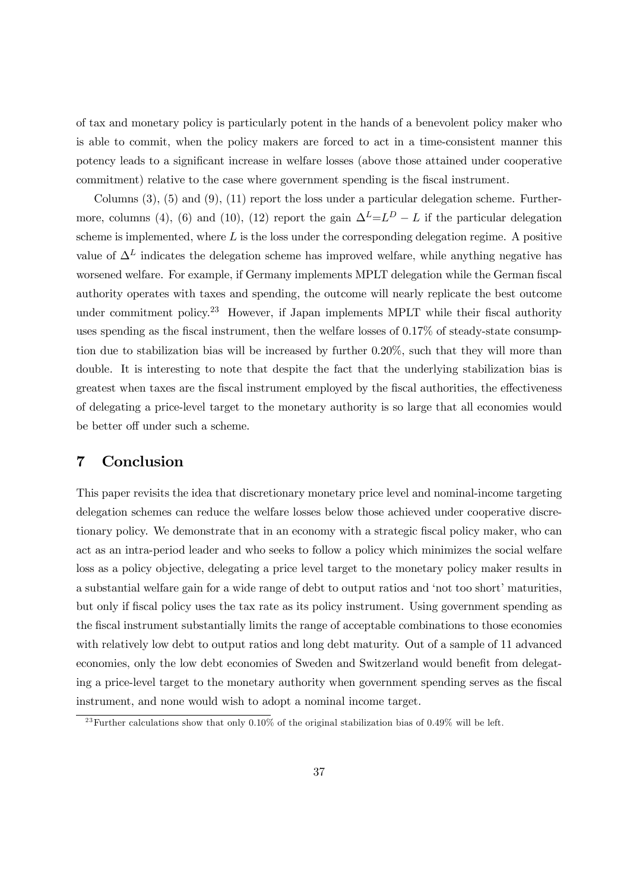of tax and monetary policy is particularly potent in the hands of a benevolent policy maker who is able to commit, when the policy makers are forced to act in a time-consistent manner this potency leads to a significant increase in welfare losses (above those attained under cooperative commitment) relative to the case where government spending is the fiscal instrument.

Columns  $(3)$ ,  $(5)$  and  $(9)$ ,  $(11)$  report the loss under a particular delegation scheme. Furthermore, columns (4), (6) and (10), (12) report the gain  $\Delta^{L}=L^{D}-L$  if the particular delegation scheme is implemented, where  $L$  is the loss under the corresponding delegation regime. A positive value of  $\Delta^L$  indicates the delegation scheme has improved welfare, while anything negative has worsened welfare. For example, if Germany implements MPLT delegation while the German fiscal authority operates with taxes and spending, the outcome will nearly replicate the best outcome under commitment policy.<sup>23</sup> However, if Japan implements MPLT while their fiscal authority uses spending as the fiscal instrument, then the welfare losses of 0.17% of steady-state consumption due to stabilization bias will be increased by further 0.20%, such that they will more than double. It is interesting to note that despite the fact that the underlying stabilization bias is greatest when taxes are the fiscal instrument employed by the fiscal authorities, the effectiveness of delegating a price-level target to the monetary authority is so large that all economies would be better off under such a scheme.

## 7 Conclusion

This paper revisits the idea that discretionary monetary price level and nominal-income targeting delegation schemes can reduce the welfare losses below those achieved under cooperative discretionary policy. We demonstrate that in an economy with a strategic fiscal policy maker, who can act as an intra-period leader and who seeks to follow a policy which minimizes the social welfare loss as a policy objective, delegating a price level target to the monetary policy maker results in a substantial welfare gain for a wide range of debt to output ratios and 'not too short' maturities, but only if fiscal policy uses the tax rate as its policy instrument. Using government spending as the fiscal instrument substantially limits the range of acceptable combinations to those economies with relatively low debt to output ratios and long debt maturity. Out of a sample of 11 advanced economies, only the low debt economies of Sweden and Switzerland would benefit from delegating a price-level target to the monetary authority when government spending serves as the fiscal instrument, and none would wish to adopt a nominal income target.

<sup>&</sup>lt;sup>23</sup> Further calculations show that only 0.10% of the original stabilization bias of 0.49% will be left.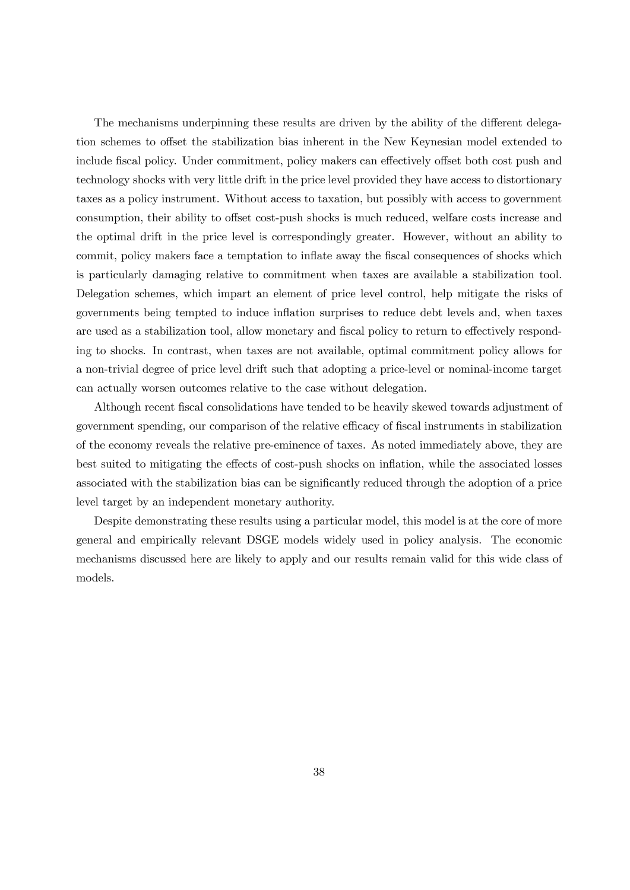The mechanisms underpinning these results are driven by the ability of the different delegation schemes to offset the stabilization bias inherent in the New Keynesian model extended to include fiscal policy. Under commitment, policy makers can effectively offset both cost push and technology shocks with very little drift in the price level provided they have access to distortionary taxes as a policy instrument. Without access to taxation, but possibly with access to government consumption, their ability to offset cost-push shocks is much reduced, welfare costs increase and the optimal drift in the price level is correspondingly greater. However, without an ability to commit, policy makers face a temptation to inflate away the fiscal consequences of shocks which is particularly damaging relative to commitment when taxes are available a stabilization tool. Delegation schemes, which impart an element of price level control, help mitigate the risks of governments being tempted to induce inflation surprises to reduce debt levels and, when taxes are used as a stabilization tool, allow monetary and fiscal policy to return to effectively responding to shocks. In contrast, when taxes are not available, optimal commitment policy allows for a non-trivial degree of price level drift such that adopting a price-level or nominal-income target can actually worsen outcomes relative to the case without delegation.

Although recent fiscal consolidations have tended to be heavily skewed towards adjustment of government spending, our comparison of the relative efficacy of fiscal instruments in stabilization of the economy reveals the relative pre-eminence of taxes. As noted immediately above, they are best suited to mitigating the effects of cost-push shocks on inflation, while the associated losses associated with the stabilization bias can be significantly reduced through the adoption of a price level target by an independent monetary authority.

Despite demonstrating these results using a particular model, this model is at the core of more general and empirically relevant DSGE models widely used in policy analysis. The economic mechanisms discussed here are likely to apply and our results remain valid for this wide class of models.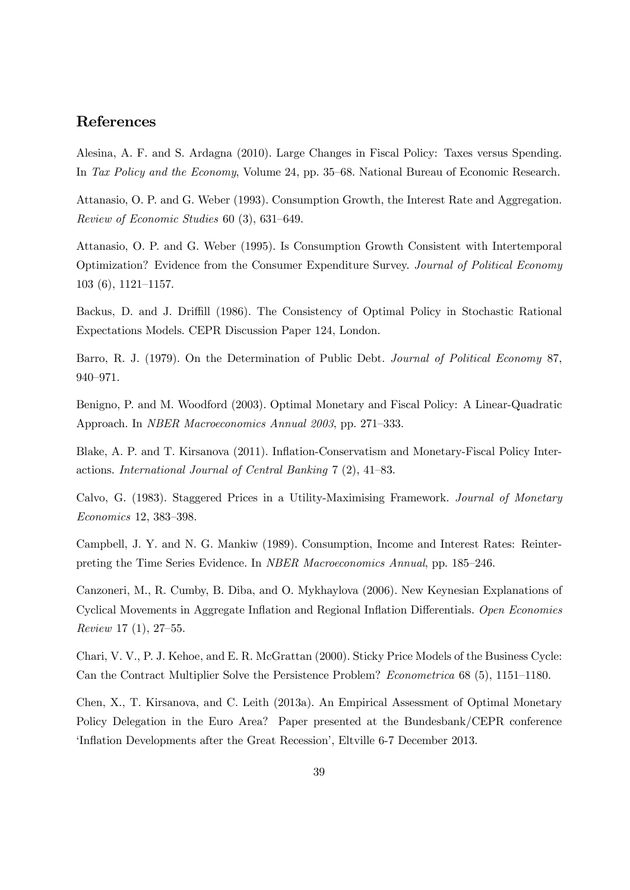## References

Alesina, A. F. and S. Ardagna (2010). Large Changes in Fiscal Policy: Taxes versus Spending. In *Tax Policy and the Economy*, Volume 24, pp. 35—68. National Bureau of Economic Research.

Attanasio, O. P. and G. Weber (1993). Consumption Growth, the Interest Rate and Aggregation. *Review of Economic Studies* 60 (3), 631—649.

Attanasio, O. P. and G. Weber (1995). Is Consumption Growth Consistent with Intertemporal Optimization? Evidence from the Consumer Expenditure Survey. *Journal of Political Economy* 103 (6), 1121—1157.

Backus, D. and J. Driffill (1986). The Consistency of Optimal Policy in Stochastic Rational Expectations Models. CEPR Discussion Paper 124, London.

Barro, R. J. (1979). On the Determination of Public Debt. *Journal of Political Economy* 87, 940—971.

Benigno, P. and M. Woodford (2003). Optimal Monetary and Fiscal Policy: A Linear-Quadratic Approach. In *NBER Macroeconomics Annual 2003*, pp. 271—333.

Blake, A. P. and T. Kirsanova (2011). Inflation-Conservatism and Monetary-Fiscal Policy Interactions. *International Journal of Central Banking* 7 (2), 41—83.

Calvo, G. (1983). Staggered Prices in a Utility-Maximising Framework. *Journal of Monetary Economics* 12, 383—398.

Campbell, J. Y. and N. G. Mankiw (1989). Consumption, Income and Interest Rates: Reinterpreting the Time Series Evidence. In *NBER Macroeconomics Annual*, pp. 185—246.

Canzoneri, M., R. Cumby, B. Diba, and O. Mykhaylova (2006). New Keynesian Explanations of Cyclical Movements in Aggregate Inflation and Regional Inflation Differentials. *Open Economies Review* 17 (1), 27—55.

Chari, V. V., P. J. Kehoe, and E. R. McGrattan (2000). Sticky Price Models of the Business Cycle: Can the Contract Multiplier Solve the Persistence Problem? *Econometrica* 68 (5), 1151—1180.

Chen, X., T. Kirsanova, and C. Leith (2013a). An Empirical Assessment of Optimal Monetary Policy Delegation in the Euro Area? Paper presented at the Bundesbank/CEPR conference 'Inflation Developments after the Great Recession', Eltville 6-7 December 2013.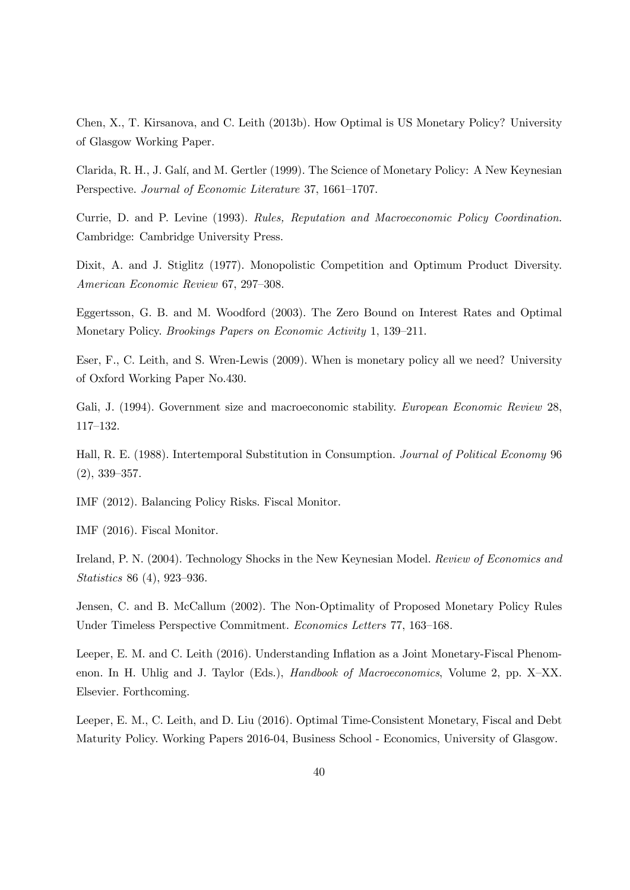Chen, X., T. Kirsanova, and C. Leith (2013b). How Optimal is US Monetary Policy? University of Glasgow Working Paper.

Clarida, R. H., J. Galí, and M. Gertler (1999). The Science of Monetary Policy: A New Keynesian Perspective. *Journal of Economic Literature* 37, 1661—1707.

Currie, D. and P. Levine (1993). *Rules, Reputation and Macroeconomic Policy Coordination*. Cambridge: Cambridge University Press.

Dixit, A. and J. Stiglitz (1977). Monopolistic Competition and Optimum Product Diversity. *American Economic Review* 67, 297—308.

Eggertsson, G. B. and M. Woodford (2003). The Zero Bound on Interest Rates and Optimal Monetary Policy. *Brookings Papers on Economic Activity* 1, 139—211.

Eser, F., C. Leith, and S. Wren-Lewis (2009). When is monetary policy all we need? University of Oxford Working Paper No.430.

Gali, J. (1994). Government size and macroeconomic stability. *European Economic Review* 28, 117—132.

Hall, R. E. (1988). Intertemporal Substitution in Consumption. *Journal of Political Economy* 96 (2), 339—357.

IMF (2012). Balancing Policy Risks. Fiscal Monitor.

IMF (2016). Fiscal Monitor.

Ireland, P. N. (2004). Technology Shocks in the New Keynesian Model. *Review of Economics and Statistics* 86 (4), 923—936.

Jensen, C. and B. McCallum (2002). The Non-Optimality of Proposed Monetary Policy Rules Under Timeless Perspective Commitment. *Economics Letters* 77, 163—168.

Leeper, E. M. and C. Leith (2016). Understanding Inflation as a Joint Monetary-Fiscal Phenomenon. In H. Uhlig and J. Taylor (Eds.), *Handbook of Macroeconomics*, Volume 2, pp. X—XX. Elsevier. Forthcoming.

Leeper, E. M., C. Leith, and D. Liu (2016). Optimal Time-Consistent Monetary, Fiscal and Debt Maturity Policy. Working Papers 2016-04, Business School - Economics, University of Glasgow.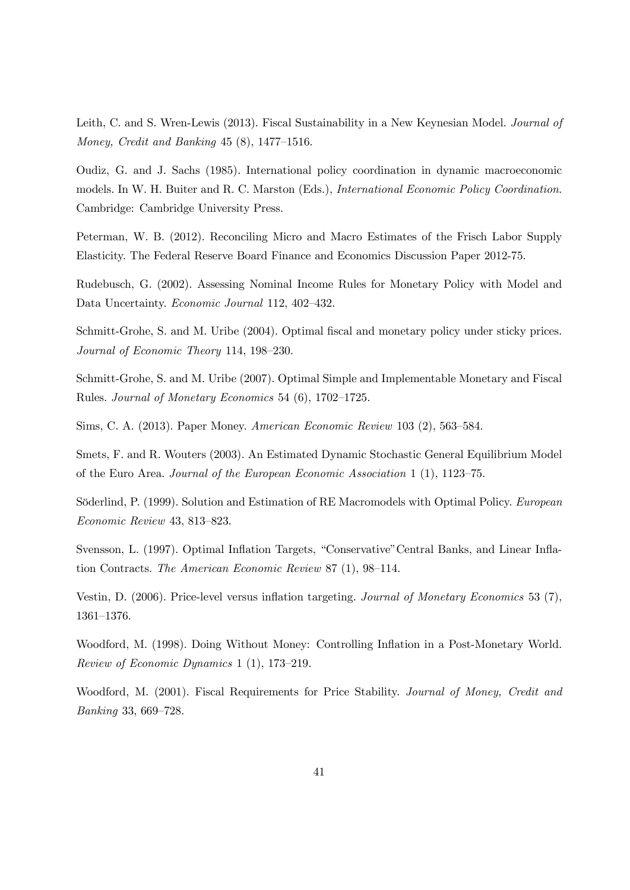Leith, C. and S. Wren-Lewis (2013). Fiscal Sustainability in a New Keynesian Model. *Journal of Money, Credit and Banking* 45 (8), 1477—1516.

Oudiz, G. and J. Sachs (1985). International policy coordination in dynamic macroeconomic models. In W. H. Buiter and R. C. Marston (Eds.), *International Economic Policy Coordination*. Cambridge: Cambridge University Press.

Peterman, W. B. (2012). Reconciling Micro and Macro Estimates of the Frisch Labor Supply Elasticity. The Federal Reserve Board Finance and Economics Discussion Paper 2012-75.

Rudebusch, G. (2002). Assessing Nominal Income Rules for Monetary Policy with Model and Data Uncertainty. *Economic Journal* 112, 402—432.

Schmitt-Grohe, S. and M. Uribe (2004). Optimal fiscal and monetary policy under sticky prices. *Journal of Economic Theory* 114, 198—230.

Schmitt-Grohe, S. and M. Uribe (2007). Optimal Simple and Implementable Monetary and Fiscal Rules. *Journal of Monetary Economics* 54 (6), 1702—1725.

Sims, C. A. (2013). Paper Money. *American Economic Review* 103 (2), 563—584.

Smets, F. and R. Wouters (2003). An Estimated Dynamic Stochastic General Equilibrium Model of the Euro Area. *Journal of the European Economic Association* 1 (1), 1123—75.

Söderlind, P. (1999). Solution and Estimation of RE Macromodels with Optimal Policy. *European Economic Review* 43, 813—823.

Svensson, L. (1997). Optimal Inflation Targets, "Conservative"Central Banks, and Linear Inflation Contracts. *The American Economic Review* 87 (1), 98—114.

Vestin, D. (2006). Price-level versus inflation targeting. *Journal of Monetary Economics* 53 (7), 1361—1376.

Woodford, M. (1998). Doing Without Money: Controlling Inflation in a Post-Monetary World. *Review of Economic Dynamics* 1 (1), 173—219.

Woodford, M. (2001). Fiscal Requirements for Price Stability. *Journal of Money, Credit and Banking* 33, 669—728.